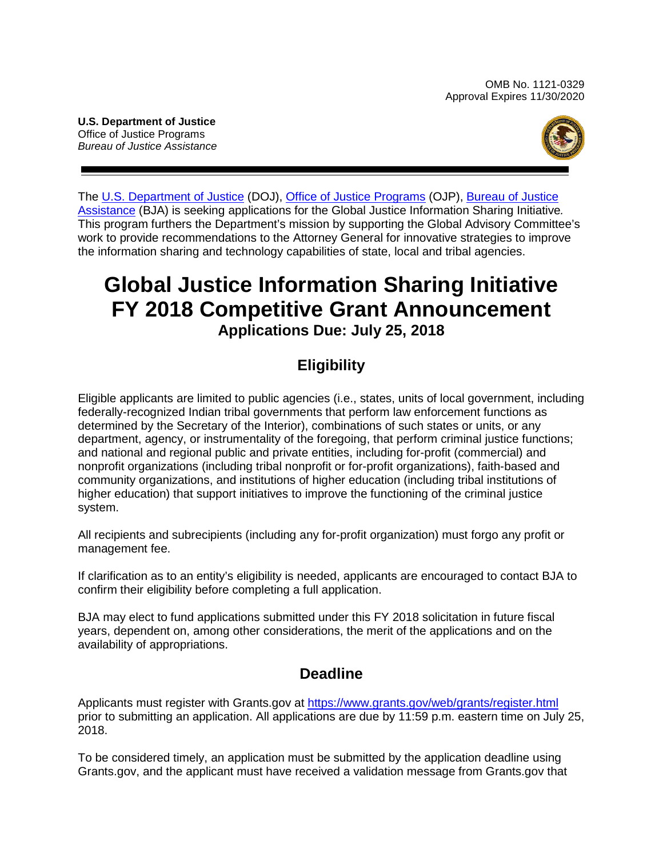<span id="page-0-0"></span>**U.S. Department of Justice** Office of Justice Programs *Bureau of Justice Assistance*



The [U.S. Department of Justice](https://www.usdoj.gov/) (DOJ), [Office of Justice Programs](https://www.ojp.gov/) (OJP), [Bureau of Justice](http://www.bja.gov/)  [Assistance](http://www.bja.gov/) (BJA) is seeking applications for the Global Justice Information Sharing Initiative*.* This program furthers the Department's mission by supporting the Global Advisory Committee's work to provide recommendations to the Attorney General for innovative strategies to improve the information sharing and technology capabilities of state, local and tribal agencies.

## **Global Justice Information Sharing Initiative FY 2018 Competitive Grant Announcement Applications Due: July 25, 2018**

## **Eligibility**

Eligible applicants are limited to public agencies (i.e., states, units of local government, including federally-recognized Indian tribal governments that perform law enforcement functions as determined by the Secretary of the Interior), combinations of such states or units, or any department, agency, or instrumentality of the foregoing, that perform criminal justice functions; and national and regional public and private entities, including for-profit (commercial) and nonprofit organizations (including tribal nonprofit or for-profit organizations), faith-based and community organizations, and institutions of higher education (including tribal institutions of higher education) that support initiatives to improve the functioning of the criminal justice system.

All recipients and subrecipients (including any for-profit organization) must forgo any profit or management fee.

If clarification as to an entity's eligibility is needed, applicants are encouraged to contact BJA to confirm their eligibility before completing a full application.

BJA may elect to fund applications submitted under this FY 2018 solicitation in future fiscal years, dependent on, among other considerations, the merit of the applications and on the availability of appropriations.

## **Deadline**

Applicants must register with Grants.gov at <https://www.grants.gov/web/grants/register.html> prior to submitting an application. All applications are due by 11:59 p.m. eastern time on July 25, 2018.

To be considered timely, an application must be submitted by the application deadline using Grants.gov, and the applicant must have received a validation message from Grants.gov that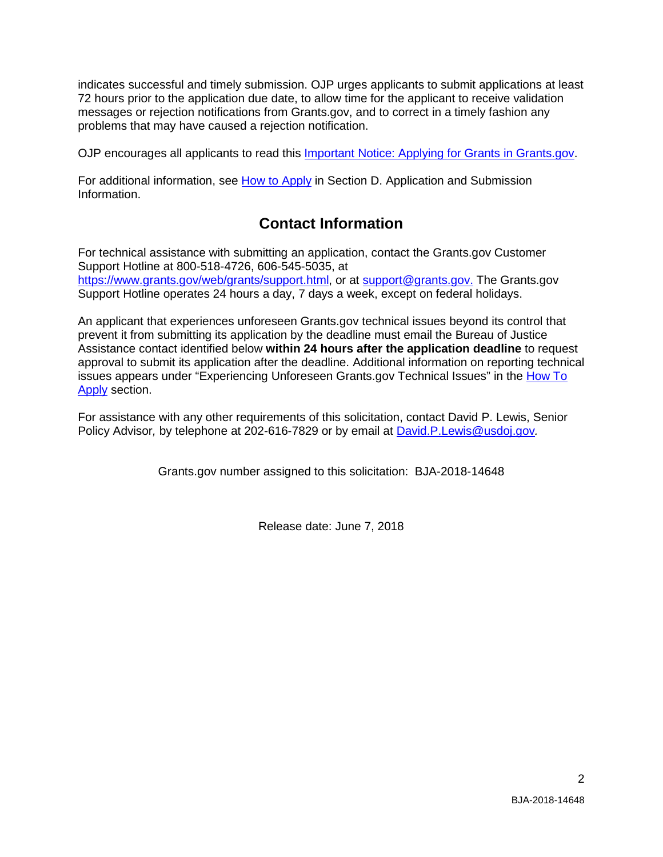indicates successful and timely submission. OJP urges applicants to submit applications at least 72 hours prior to the application due date, to allow time for the applicant to receive validation messages or rejection notifications from Grants.gov, and to correct in a timely fashion any problems that may have caused a rejection notification.

OJP encourages all applicants to read this [Important Notice: Applying for Grants in Grants.gov.](https://ojp.gov/funding/Apply/Grants-govInfo.htm)

For additional information, see How [to Apply](#page-19-0) in Section [D. Application and Submission](#page-8-0)  [Information.](#page-8-0)

## **Contact Information**

<span id="page-1-0"></span>For technical assistance with submitting an application, contact the Grants.gov Customer Support Hotline at 800-518-4726, 606-545-5035, at [https://www.grants.gov/web/grants/support.html,](https://www.grants.gov/web/grants/support.html) or at [support@grants.gov.](mailto:support@grants.gov) The Grants.gov Support Hotline operates 24 hours a day, 7 days a week, except on federal holidays.

An applicant that experiences unforeseen Grants.gov technical issues beyond its control that prevent it from submitting its application by the deadline must email the Bureau of Justice Assistance contact identified below **within 24 hours after the application deadline** to request approval to submit its application after the deadline. Additional information on reporting technical issues appears under "Experiencing Unforeseen Grants.gov Technical Issues" in the [How To](#page-19-0)  [Apply](#page-19-0) section.

For assistance with any other requirements of this solicitation, contact David P. Lewis, Senior Policy Advisor*,* by telephone at 202-616-7829 or by email at [David.P.Lewis@usdoj.gov](mailto:David.P.Lewis@usdoj.gov)*.*

Grants.gov number assigned to this solicitation: BJA-2018-14648

Release date: June 7, 2018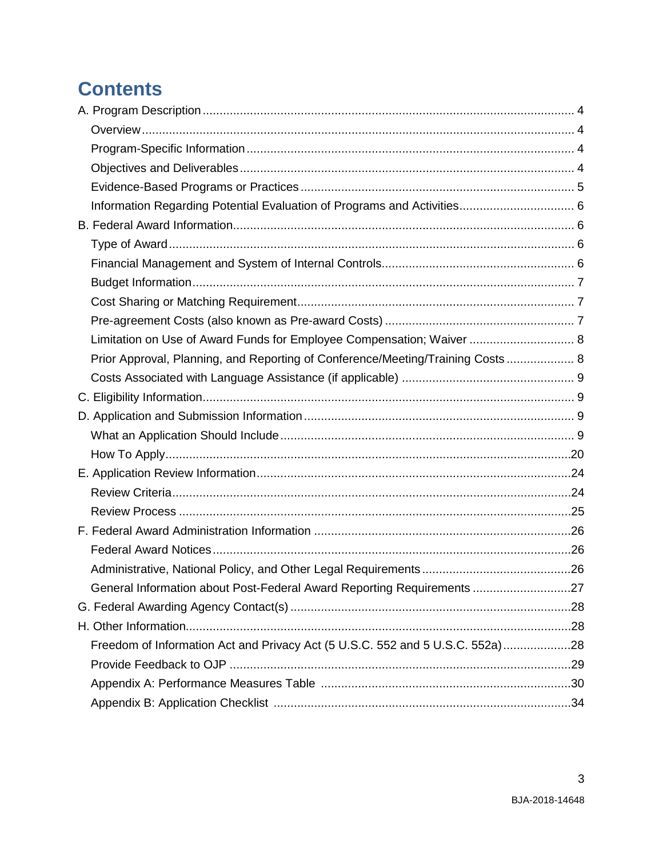# **Contents**

| Limitation on Use of Award Funds for Employee Compensation; Waiver  8          |  |
|--------------------------------------------------------------------------------|--|
| Prior Approval, Planning, and Reporting of Conference/Meeting/Training Costs 8 |  |
|                                                                                |  |
|                                                                                |  |
|                                                                                |  |
|                                                                                |  |
|                                                                                |  |
|                                                                                |  |
|                                                                                |  |
|                                                                                |  |
|                                                                                |  |
|                                                                                |  |
|                                                                                |  |
| General Information about Post-Federal Award Reporting Requirements 27         |  |
|                                                                                |  |
|                                                                                |  |
| Freedom of Information Act and Privacy Act (5 U.S.C. 552 and 5 U.S.C. 552a)28  |  |
|                                                                                |  |
|                                                                                |  |
|                                                                                |  |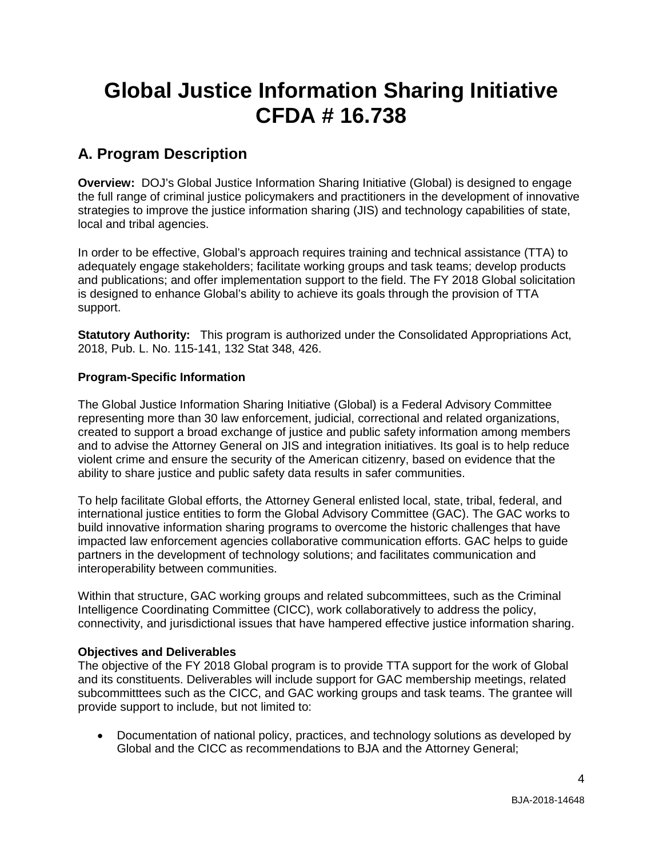# **Global Justice Information Sharing Initiative CFDA # 16.738**

## <span id="page-3-0"></span>**A. Program Description**

<span id="page-3-1"></span>**Overview:** DOJ's Global Justice Information Sharing Initiative (Global) is designed to engage the full range of criminal justice policymakers and practitioners in the development of innovative strategies to improve the justice information sharing (JIS) and technology capabilities of state, local and tribal agencies.

In order to be effective, Global's approach requires training and technical assistance (TTA) to adequately engage stakeholders; facilitate working groups and task teams; develop products and publications; and offer implementation support to the field. The FY 2018 Global solicitation is designed to enhance Global's ability to achieve its goals through the provision of TTA support.

**Statutory Authority:** This program is authorized under the Consolidated Appropriations Act, 2018, Pub. L. No. 115-141, 132 Stat 348, 426.

#### <span id="page-3-2"></span>**Program-Specific Information**

The Global Justice Information Sharing Initiative (Global) is a Federal Advisory Committee representing more than 30 law enforcement, judicial, correctional and related organizations, created to support a broad exchange of justice and public safety information among members and to advise the Attorney General on JIS and integration initiatives. Its goal is to help reduce violent crime and ensure the security of the American citizenry, based on evidence that the ability to share justice and public safety data results in safer communities.

To help facilitate Global efforts, the Attorney General enlisted local, state, tribal, federal, and international justice entities to form the Global Advisory Committee (GAC). The GAC works to build innovative information sharing programs to overcome the historic challenges that have impacted law enforcement agencies collaborative communication efforts. GAC helps to guide partners in the development of technology solutions; and facilitates communication and interoperability between communities.

Within that structure, GAC working groups and related subcommittees, such as the Criminal Intelligence Coordinating Committee (CICC), work collaboratively to address the policy, connectivity, and jurisdictional issues that have hampered effective justice information sharing.

#### <span id="page-3-3"></span>**Objectives and Deliverables**

The objective of the FY 2018 Global program is to provide TTA support for the work of Global and its constituents. Deliverables will include support for GAC membership meetings, related subcommitttees such as the CICC, and GAC working groups and task teams. The grantee will provide support to include, but not limited to:

• Documentation of national policy, practices, and technology solutions as developed by Global and the CICC as recommendations to BJA and the Attorney General;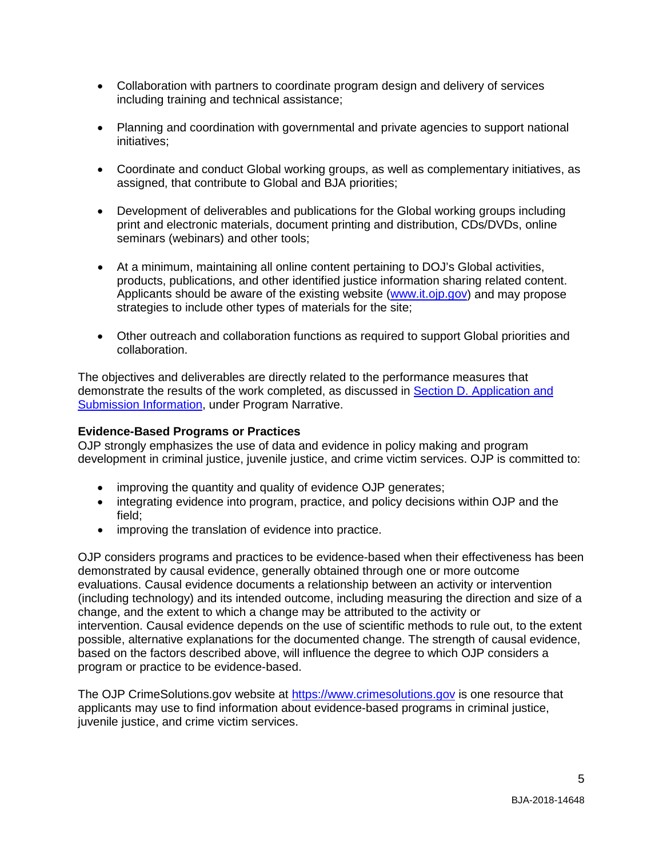- Collaboration with partners to coordinate program design and delivery of services including training and technical assistance;
- Planning and coordination with governmental and private agencies to support national initiatives;
- Coordinate and conduct Global working groups, as well as complementary initiatives, as assigned, that contribute to Global and BJA priorities;
- Development of deliverables and publications for the Global working groups including print and electronic materials, document printing and distribution, CDs/DVDs, online seminars (webinars) and other tools;
- At a minimum, maintaining all online content pertaining to DOJ's Global activities, products, publications, and other identified justice information sharing related content. Applicants should be aware of the existing website [\(www.it.ojp.gov\)](http://www.it.ojp.gov/) and may propose strategies to include other types of materials for the site;
- Other outreach and collaboration functions as required to support Global priorities and collaboration.

The objectives and deliverables are directly related to the performance measures that demonstrate the results of the work completed, as discussed in [Section D. Application and](#page-8-0)  [Submission Information,](#page-8-0) under Program Narrative.

#### <span id="page-4-0"></span>**Evidence-Based Programs or Practices**

OJP strongly emphasizes the use of data and evidence in policy making and program development in criminal justice, juvenile justice, and crime victim services. OJP is committed to:

- improving the quantity and quality of evidence OJP generates;
- integrating evidence into program, practice, and policy decisions within OJP and the field;
- improving the translation of evidence into practice.

OJP considers programs and practices to be evidence-based when their effectiveness has been demonstrated by causal evidence, generally obtained through one or more outcome evaluations. Causal evidence documents a relationship between an activity or intervention (including technology) and its intended outcome, including measuring the direction and size of a change, and the extent to which a change may be attributed to the activity or intervention. Causal evidence depends on the use of scientific methods to rule out, to the extent possible, alternative explanations for the documented change. The strength of causal evidence, based on the factors described above, will influence the degree to which OJP considers a program or practice to be evidence-based.

The OJP CrimeSolutions.gov website at [https://www.crimesolutions.gov](https://www.crimesolutions.gov/) is one resource that applicants may use to find information about evidence-based programs in criminal justice, juvenile justice, and crime victim services.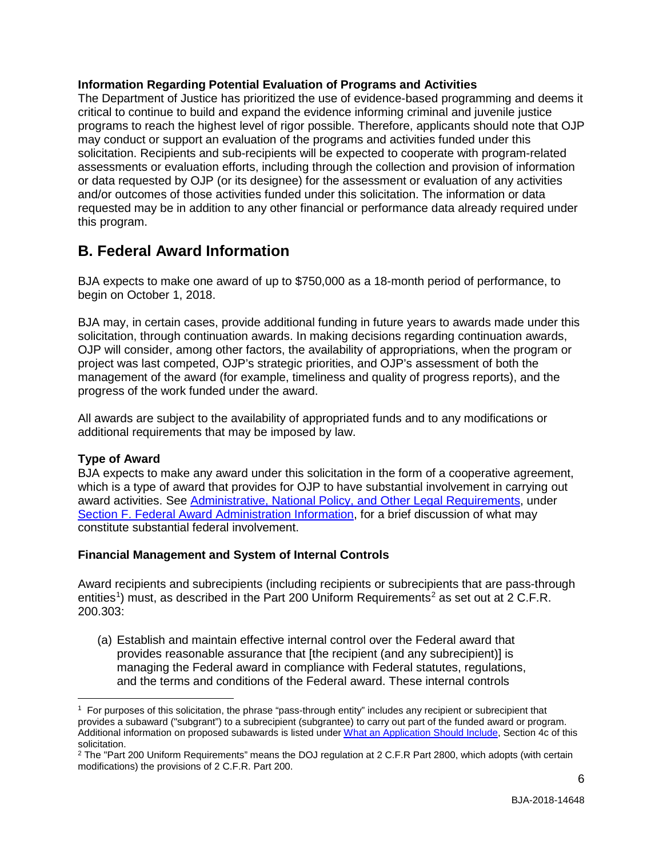#### <span id="page-5-0"></span>**Information Regarding Potential Evaluation of Programs and Activities**

The Department of Justice has prioritized the use of evidence-based programming and deems it critical to continue to build and expand the evidence informing criminal and juvenile justice programs to reach the highest level of rigor possible. Therefore, applicants should note that OJP may conduct or support an evaluation of the programs and activities funded under this solicitation. Recipients and sub-recipients will be expected to cooperate with program-related assessments or evaluation efforts, including through the collection and provision of information or data requested by OJP (or its designee) for the assessment or evaluation of any activities and/or outcomes of those activities funded under this solicitation. The information or data requested may be in addition to any other financial or performance data already required under this program.

## <span id="page-5-1"></span>**B. Federal Award Information**

BJA expects to make one award of up to \$750,000 as a 18-month period of performance, to begin on October 1, 2018.

BJA may, in certain cases, provide additional funding in future years to awards made under this solicitation, through continuation awards. In making decisions regarding continuation awards, OJP will consider, among other factors, the availability of appropriations, when the program or project was last competed, OJP's strategic priorities, and OJP's assessment of both the management of the award (for example, timeliness and quality of progress reports), and the progress of the work funded under the award.

All awards are subject to the availability of appropriated funds and to any modifications or additional requirements that may be imposed by law.

#### <span id="page-5-2"></span>**Type of Award**

 $\overline{a}$ 

BJA expects to make any award under this solicitation in the form of a cooperative agreement, which is a type of award that provides for OJP to have substantial involvement in carrying out award activities. See [Administrative, National Policy, and Other Legal Requirements,](#page-25-0) under [Section F. Federal Award Administration Information,](#page-25-0) for a brief discussion of what may constitute substantial federal involvement.

#### <span id="page-5-3"></span>**Financial Management and System of Internal Controls**

Award recipients and subrecipients (including recipients or subrecipients that are pass-through entities<sup>[1](#page-5-4)</sup>) must, as described in the Part [2](#page-5-5)00 Uniform Requirements<sup>2</sup> as set out at 2 C.F.R. 200.303:

(a) Establish and maintain effective internal control over the Federal award that provides reasonable assurance that [the recipient (and any subrecipient)] is managing the Federal award in compliance with Federal statutes, regulations, and the terms and conditions of the Federal award. These internal controls

<span id="page-5-4"></span><sup>1</sup> For purposes of this solicitation, the phrase "pass-through entity" includes any recipient or subrecipient that provides a subaward ("subgrant") to a subrecipient (subgrantee) to carry out part of the funded award or program. Additional information on proposed subawards is listed unde[r What an Application Should Include,](#page-8-3) Section 4c of this solicitation.

<span id="page-5-5"></span><sup>&</sup>lt;sup>2</sup> The "Part 200 Uniform Requirements" means the DOJ regulation at 2 C.F.R Part 2800, which adopts (with certain modifications) the provisions of 2 C.F.R. Part 200.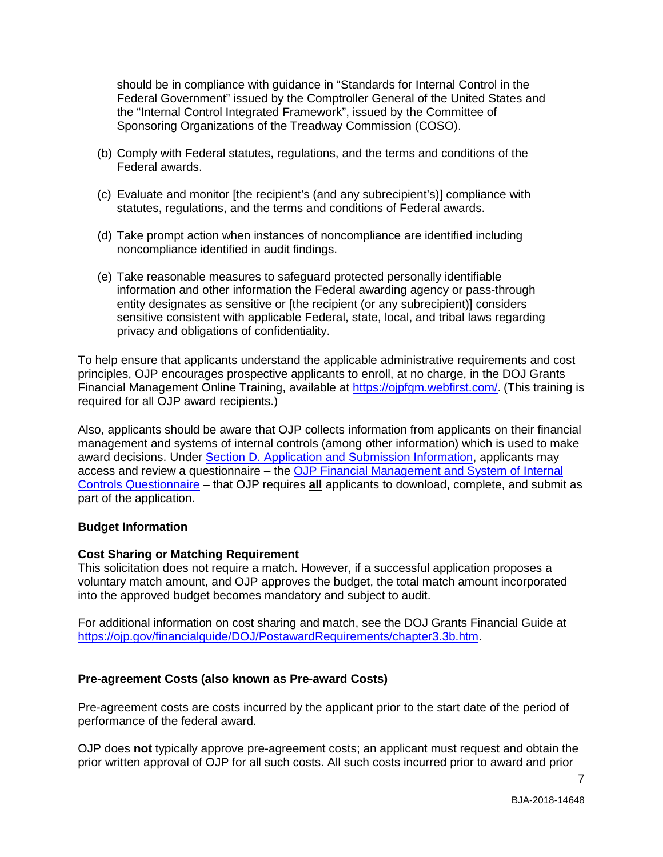should be in compliance with guidance in "Standards for Internal Control in the Federal Government" issued by the Comptroller General of the United States and the "Internal Control Integrated Framework", issued by the Committee of Sponsoring Organizations of the Treadway Commission (COSO).

- (b) Comply with Federal statutes, regulations, and the terms and conditions of the Federal awards.
- (c) Evaluate and monitor [the recipient's (and any subrecipient's)] compliance with statutes, regulations, and the terms and conditions of Federal awards.
- (d) Take prompt action when instances of noncompliance are identified including noncompliance identified in audit findings.
- (e) Take reasonable measures to safeguard protected personally identifiable information and other information the Federal awarding agency or pass-through entity designates as sensitive or [the recipient (or any subrecipient)] considers sensitive consistent with applicable Federal, state, local, and tribal laws regarding privacy and obligations of confidentiality.

To help ensure that applicants understand the applicable administrative requirements and cost principles, OJP encourages prospective applicants to enroll, at no charge, in the DOJ Grants Financial Management Online Training, available at [https://ojpfgm.webfirst.com/.](https://ojpfgm.webfirst.com/) (This training is required for all OJP award recipients.)

Also, applicants should be aware that OJP collects information from applicants on their financial management and systems of internal controls (among other information) which is used to make award decisions. Under [Section D. Application and Submission Information,](#page-8-0) applicants may access and review a questionnaire – the [OJP Financial Management and System of Internal](https://ojp.gov/funding/Apply/Resources/FinancialCapability.pdf)  [Controls Questionnaire](https://ojp.gov/funding/Apply/Resources/FinancialCapability.pdf) – that OJP requires **all** applicants to download, complete, and submit as part of the application.

#### <span id="page-6-0"></span>**Budget Information**

#### <span id="page-6-1"></span>**Cost Sharing or Matching Requirement**

This solicitation does not require a match. However, if a successful application proposes a voluntary match amount, and OJP approves the budget, the total match amount incorporated into the approved budget becomes mandatory and subject to audit.

For additional information on cost sharing and match, see the DOJ Grants Financial Guide at [https://ojp.gov/financialguide/DOJ/PostawardRequirements/chapter3.3b.htm.](https://ojp.gov/financialguide/DOJ/PostawardRequirements/chapter3.3b.htm)

#### <span id="page-6-2"></span>**Pre-agreement Costs (also known as Pre-award Costs)**

Pre-agreement costs are costs incurred by the applicant prior to the start date of the period of performance of the federal award.

OJP does **not** typically approve pre-agreement costs; an applicant must request and obtain the prior written approval of OJP for all such costs. All such costs incurred prior to award and prior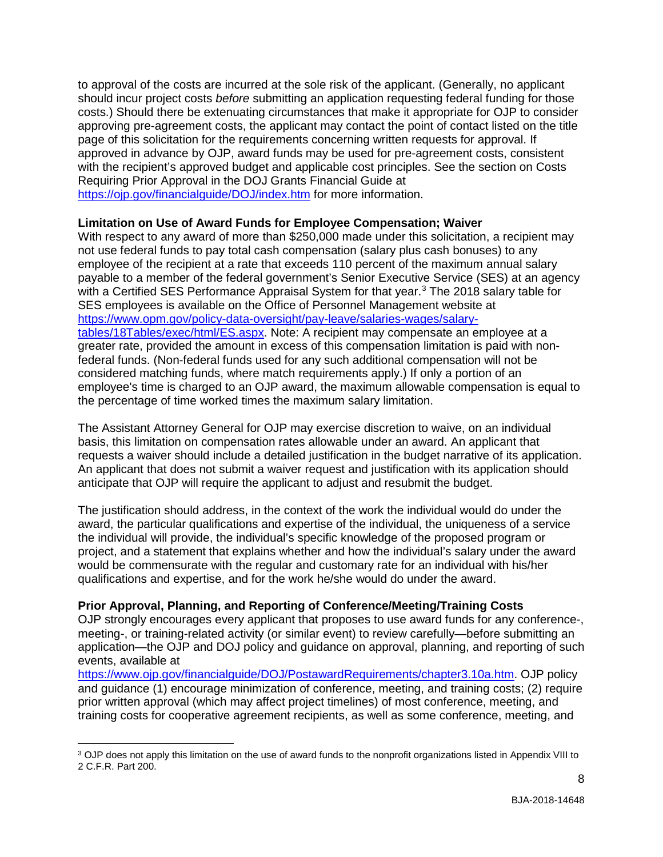to approval of the costs are incurred at the sole risk of the applicant. (Generally, no applicant should incur project costs *before* submitting an application requesting federal funding for those costs.) Should there be extenuating circumstances that make it appropriate for OJP to consider approving pre-agreement costs, the applicant may contact the point of contact listed on the title page of this solicitation for the requirements concerning written requests for approval. If approved in advance by OJP, award funds may be used for pre-agreement costs, consistent with the recipient's approved budget and applicable cost principles. See the section on Costs Requiring Prior Approval in the DOJ Grants Financial Guide at <https://ojp.gov/financialguide/DOJ/index.htm> for more information.

#### <span id="page-7-0"></span>**Limitation on Use of Award Funds for Employee Compensation; Waiver**

With respect to any award of more than \$250,000 made under this solicitation, a recipient may not use federal funds to pay total cash compensation (salary plus cash bonuses) to any employee of the recipient at a rate that exceeds 110 percent of the maximum annual salary payable to a member of the federal government's Senior Executive Service (SES) at an agency with a Certified SES Performance Appraisal System for that year.<sup>[3](#page-7-2)</sup> The 2018 salary table for SES employees is available on the Office of Personnel Management website at [https://www.opm.gov/policy-data-oversight/pay-leave/salaries-wages/salary](https://www.opm.gov/policy-data-oversight/pay-leave/salaries-wages/salary-tables/18Tables/exec/html/ES.aspx)[tables/18Tables/exec/html/ES.aspx.](https://www.opm.gov/policy-data-oversight/pay-leave/salaries-wages/salary-tables/18Tables/exec/html/ES.aspx) Note: A recipient may compensate an employee at a greater rate, provided the amount in excess of this compensation limitation is paid with nonfederal funds. (Non-federal funds used for any such additional compensation will not be considered matching funds, where match requirements apply.) If only a portion of an employee's time is charged to an OJP award, the maximum allowable compensation is equal to the percentage of time worked times the maximum salary limitation.

The Assistant Attorney General for OJP may exercise discretion to waive, on an individual basis, this limitation on compensation rates allowable under an award. An applicant that requests a waiver should include a detailed justification in the budget narrative of its application. An applicant that does not submit a waiver request and justification with its application should anticipate that OJP will require the applicant to adjust and resubmit the budget.

The justification should address, in the context of the work the individual would do under the award, the particular qualifications and expertise of the individual, the uniqueness of a service the individual will provide, the individual's specific knowledge of the proposed program or project, and a statement that explains whether and how the individual's salary under the award would be commensurate with the regular and customary rate for an individual with his/her qualifications and expertise, and for the work he/she would do under the award.

#### <span id="page-7-1"></span>**Prior Approval, Planning, and Reporting of Conference/Meeting/Training Costs**

OJP strongly encourages every applicant that proposes to use award funds for any conference-, meeting-, or training-related activity (or similar event) to review carefully—before submitting an application—the OJP and DOJ policy and guidance on approval, planning, and reporting of such events, available at

[https://www.ojp.gov/financialguide/DOJ/PostawardRequirements/chapter3.10a.htm.](https://www.ojp.gov/financialguide/doj/PostawardRequirements/chapter3.10a.htm) OJP policy and guidance (1) encourage minimization of conference, meeting, and training costs; (2) require prior written approval (which may affect project timelines) of most conference, meeting, and training costs for cooperative agreement recipients, as well as some conference, meeting, and

<span id="page-7-2"></span> $\overline{a}$ <sup>3</sup> OJP does not apply this limitation on the use of award funds to the nonprofit organizations listed in Appendix VIII to 2 C.F.R. Part 200.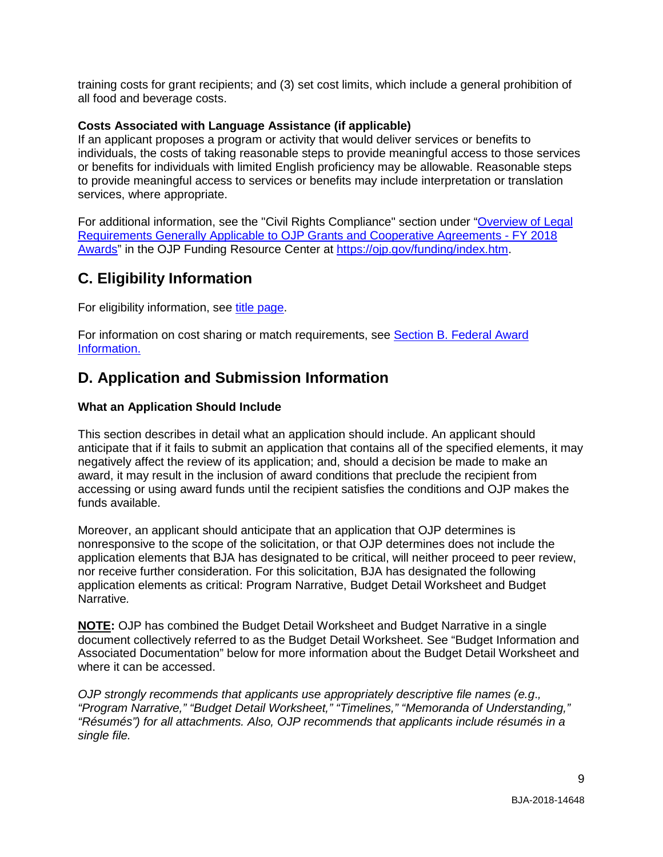training costs for grant recipients; and (3) set cost limits, which include a general prohibition of all food and beverage costs.

#### <span id="page-8-1"></span>**Costs Associated with Language Assistance (if applicable)**

If an applicant proposes a program or activity that would deliver services or benefits to individuals, the costs of taking reasonable steps to provide meaningful access to those services or benefits for individuals with limited English proficiency may be allowable. Reasonable steps to provide meaningful access to services or benefits may include interpretation or translation services, where appropriate.

For additional information, see the "Civil Rights Compliance" section under ["Overview of Legal](https://ojp.gov/funding/Explore/LegalOverview/index.htm)  [Requirements Generally Applicable to OJP Grants and Cooperative Agreements -](https://ojp.gov/funding/Explore/LegalOverview/index.htm) FY 2018 [Awards"](https://ojp.gov/funding/Explore/LegalOverview/index.htm) in the OJP Funding Resource Center at [https://ojp.gov/funding/index.htm.](https://ojp.gov/funding/index.htm)

## <span id="page-8-2"></span>**C. Eligibility Information**

For eligibility information, see [title page.](#page-0-0)

For information on cost sharing or match requirements, see Section [B. Federal Award](#page-5-1)  [Information.](#page-5-1)

## <span id="page-8-0"></span>**D. Application and Submission Information**

#### <span id="page-8-3"></span>**What an Application Should Include**

This section describes in detail what an application should include. An applicant should anticipate that if it fails to submit an application that contains all of the specified elements, it may negatively affect the review of its application; and, should a decision be made to make an award, it may result in the inclusion of award conditions that preclude the recipient from accessing or using award funds until the recipient satisfies the conditions and OJP makes the funds available.

Moreover, an applicant should anticipate that an application that OJP determines is nonresponsive to the scope of the solicitation, or that OJP determines does not include the application elements that BJA has designated to be critical, will neither proceed to peer review, nor receive further consideration. For this solicitation, BJA has designated the following application elements as critical: Program Narrative, Budget Detail Worksheet and Budget Narrative*.*

**NOTE:** OJP has combined the Budget Detail Worksheet and Budget Narrative in a single document collectively referred to as the Budget Detail Worksheet. See "Budget Information and Associated Documentation" below for more information about the Budget Detail Worksheet and where it can be accessed.

*OJP strongly recommends that applicants use appropriately descriptive file names (e.g*.*, "Program Narrative," "Budget Detail Worksheet," "Timelines," "Memoranda of Understanding," "Résumés") for all attachments. Also, OJP recommends that applicants include résumés in a single file.*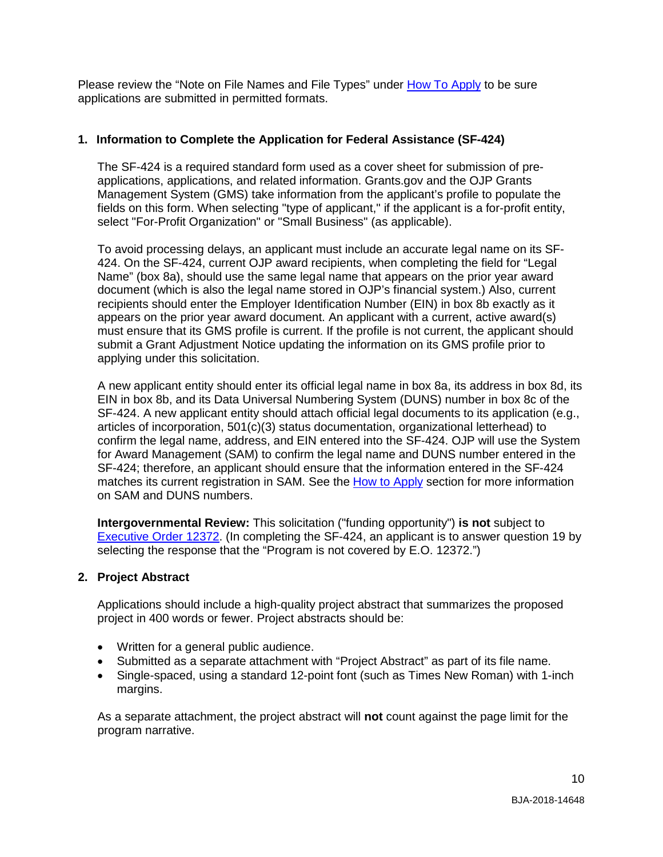Please review the "Note on File Names and File Types" under [How To Apply](#page-19-0) to be sure applications are submitted in permitted formats.

#### **1. Information to Complete the Application for Federal Assistance (SF-424)**

The SF-424 is a required standard form used as a cover sheet for submission of preapplications, applications, and related information. Grants.gov and the OJP Grants Management System (GMS) take information from the applicant's profile to populate the fields on this form. When selecting "type of applicant," if the applicant is a for-profit entity, select "For-Profit Organization" or "Small Business" (as applicable).

To avoid processing delays, an applicant must include an accurate legal name on its SF-424. On the SF-424, current OJP award recipients, when completing the field for "Legal Name" (box 8a), should use the same legal name that appears on the prior year award document (which is also the legal name stored in OJP's financial system.) Also, current recipients should enter the Employer Identification Number (EIN) in box 8b exactly as it appears on the prior year award document. An applicant with a current, active award(s) must ensure that its GMS profile is current. If the profile is not current, the applicant should submit a Grant Adjustment Notice updating the information on its GMS profile prior to applying under this solicitation.

A new applicant entity should enter its official legal name in box 8a, its address in box 8d, its EIN in box 8b, and its Data Universal Numbering System (DUNS) number in box 8c of the SF-424. A new applicant entity should attach official legal documents to its application (e.g., articles of incorporation, 501(c)(3) status documentation, organizational letterhead) to confirm the legal name, address, and EIN entered into the SF-424. OJP will use the System for Award Management (SAM) to confirm the legal name and DUNS number entered in the SF-424; therefore, an applicant should ensure that the information entered in the SF-424 matches its current registration in SAM. See the [How to Apply](#page-19-0) section for more information on SAM and DUNS numbers.

**Intergovernmental Review:** This solicitation ("funding opportunity") **is not** subject to [Executive Order 12372.](https://www.archives.gov/federal-register/codification/executive-order/12372.html) (In completing the SF-424, an applicant is to answer question 19 by selecting the response that the "Program is not covered by E.O. 12372.")

#### **2. Project Abstract**

Applications should include a high-quality project abstract that summarizes the proposed project in 400 words or fewer. Project abstracts should be:

- Written for a general public audience.
- Submitted as a separate attachment with "Project Abstract" as part of its file name.
- Single-spaced, using a standard 12-point font (such as Times New Roman) with 1-inch margins.

As a separate attachment, the project abstract will **not** count against the page limit for the program narrative.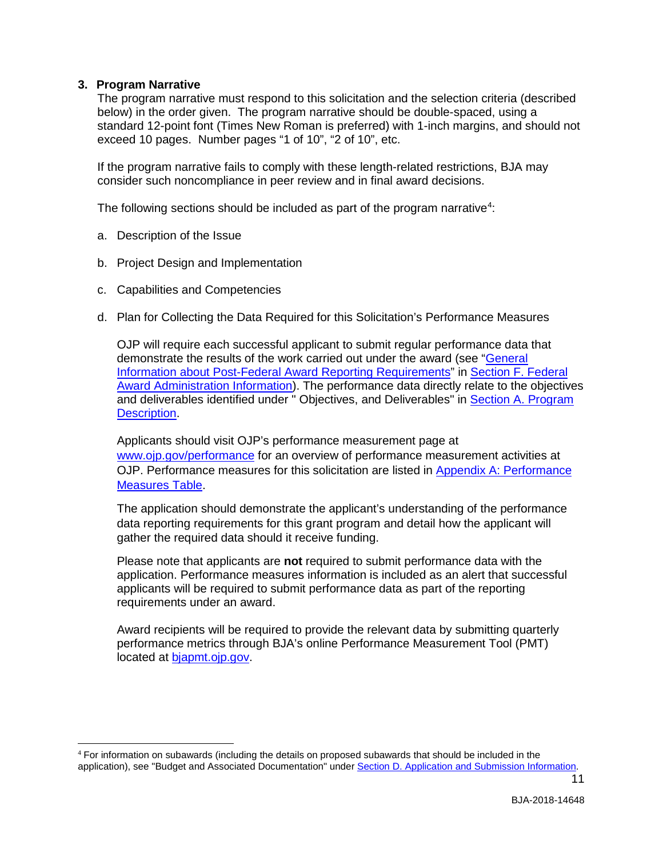#### **3. Program Narrative**

 $\overline{a}$ 

The program narrative must respond to this solicitation and the selection criteria (described below) in the order given. The program narrative should be double-spaced, using a standard 12-point font (Times New Roman is preferred) with 1-inch margins, and should not exceed 10 pages. Number pages "1 of 10", "2 of 10", etc.

If the program narrative fails to comply with these length-related restrictions, BJA may consider such noncompliance in peer review and in final award decisions.

The following sections should be included as part of the program narrative<sup>[4](#page-10-0)</sup>:

- a. Description of the Issue
- b. Project Design and Implementation
- c. Capabilities and Competencies
- d. Plan for Collecting the Data Required for this Solicitation's Performance Measures

OJP will require each successful applicant to submit regular performance data that demonstrate the results of the work carried out under the award (see ["General](#page-26-0)  [Information about Post-Federal Award Reporting Requirements"](#page-26-0) in [Section F. Federal](#page-25-0)  [Award Administration Information\)](#page-25-0). The performance data directly relate to the objectives and deliverables identified under " Objectives, and Deliverables" in [Section A. Program](#page-3-0)  **Description** 

Applicants should visit OJP's performance measurement page at [www.ojp.gov/performance](https://www.ojp.gov/performance) for an overview of performance measurement activities at OJP. Performance measures for this solicitation are listed in [Appendix A: Performance](#page-29-0)  [Measures Table.](#page-29-0)

The application should demonstrate the applicant's understanding of the performance data reporting requirements for this grant program and detail how the applicant will gather the required data should it receive funding.

Please note that applicants are **not** required to submit performance data with the application. Performance measures information is included as an alert that successful applicants will be required to submit performance data as part of the reporting requirements under an award.

Award recipients will be required to provide the relevant data by submitting quarterly performance metrics through BJA's online Performance Measurement Tool (PMT) located at [bjapmt.ojp.gov.](https://bjapmt.ojp.gov/)

<span id="page-10-0"></span><sup>4</sup> For information on subawards (including the details on proposed subawards that should be included in the application), see "Budget and Associated Documentation" under [Section D. Application and Submission Information.](#page-8-0)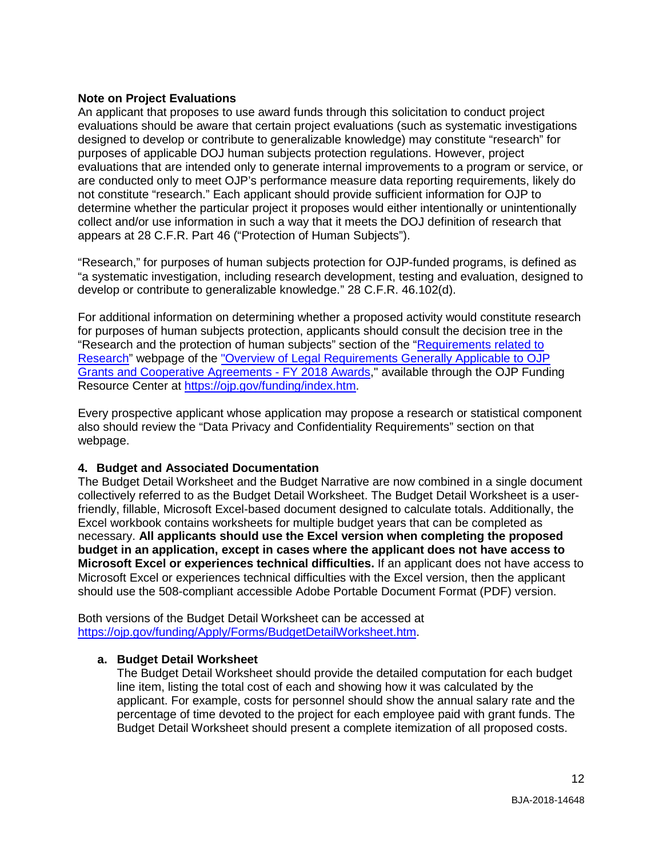#### **Note on Project Evaluations**

An applicant that proposes to use award funds through this solicitation to conduct project evaluations should be aware that certain project evaluations (such as systematic investigations designed to develop or contribute to generalizable knowledge) may constitute "research" for purposes of applicable DOJ human subjects protection regulations. However, project evaluations that are intended only to generate internal improvements to a program or service, or are conducted only to meet OJP's performance measure data reporting requirements, likely do not constitute "research." Each applicant should provide sufficient information for OJP to determine whether the particular project it proposes would either intentionally or unintentionally collect and/or use information in such a way that it meets the DOJ definition of research that appears at 28 C.F.R. Part 46 ("Protection of Human Subjects").

"Research," for purposes of human subjects protection for OJP-funded programs, is defined as "a systematic investigation, including research development, testing and evaluation, designed to develop or contribute to generalizable knowledge." 28 C.F.R. 46.102(d).

For additional information on determining whether a proposed activity would constitute research for purposes of human subjects protection, applicants should consult the decision tree in the "Research and the protection of human subjects" section of the ["Requirements](https://ojp.gov/funding/Explore/SolicitationRequirements/EvidenceResearchEvaluationRequirements.htm) related to [Research"](https://ojp.gov/funding/Explore/SolicitationRequirements/EvidenceResearchEvaluationRequirements.htm) webpage of the ["Overview of Legal Requirements Generally Applicable to OJP](https://ojp.gov/funding/Explore/LegalOverview/index.htm)  [Grants and Cooperative Agreements -](https://ojp.gov/funding/Explore/LegalOverview/index.htm) FY 2018 Awards," available through the OJP Funding Resource Center at [https://ojp.gov/funding/index.htm.](https://ojp.gov/funding/index.htm)

Every prospective applicant whose application may propose a research or statistical component also should review the "Data Privacy and Confidentiality Requirements" section on that webpage.

#### **4. Budget and Associated Documentation**

The Budget Detail Worksheet and the Budget Narrative are now combined in a single document collectively referred to as the Budget Detail Worksheet. The Budget Detail Worksheet is a userfriendly, fillable, Microsoft Excel-based document designed to calculate totals. Additionally, the Excel workbook contains worksheets for multiple budget years that can be completed as necessary. **All applicants should use the Excel version when completing the proposed budget in an application, except in cases where the applicant does not have access to Microsoft Excel or experiences technical difficulties.** If an applicant does not have access to Microsoft Excel or experiences technical difficulties with the Excel version, then the applicant should use the 508-compliant accessible Adobe Portable Document Format (PDF) version.

Both versions of the Budget Detail Worksheet can be accessed at [https://ojp.gov/funding/Apply/Forms/BudgetDetailWorksheet.htm.](https://ojp.gov/funding/Apply/Forms/BudgetDetailWorksheet.htm)

#### **a. Budget Detail Worksheet**

The Budget Detail Worksheet should provide the detailed computation for each budget line item, listing the total cost of each and showing how it was calculated by the applicant. For example, costs for personnel should show the annual salary rate and the percentage of time devoted to the project for each employee paid with grant funds. The Budget Detail Worksheet should present a complete itemization of all proposed costs.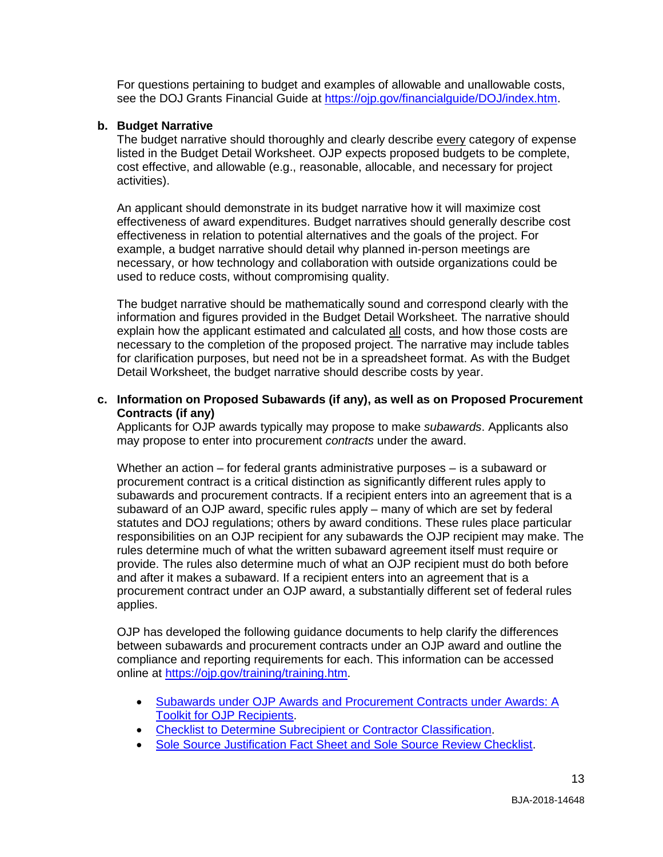For questions pertaining to budget and examples of allowable and unallowable costs, see the DOJ Grants Financial Guide at [https://ojp.gov/financialguide/DOJ/index.htm.](https://ojp.gov/financialguide/DOJ/index.htm)

#### **b. Budget Narrative**

The budget narrative should thoroughly and clearly describe every category of expense listed in the Budget Detail Worksheet. OJP expects proposed budgets to be complete, cost effective, and allowable (e.g., reasonable, allocable, and necessary for project activities).

An applicant should demonstrate in its budget narrative how it will maximize cost effectiveness of award expenditures. Budget narratives should generally describe cost effectiveness in relation to potential alternatives and the goals of the project. For example, a budget narrative should detail why planned in-person meetings are necessary, or how technology and collaboration with outside organizations could be used to reduce costs, without compromising quality.

The budget narrative should be mathematically sound and correspond clearly with the information and figures provided in the Budget Detail Worksheet. The narrative should explain how the applicant estimated and calculated all costs, and how those costs are necessary to the completion of the proposed project. The narrative may include tables for clarification purposes, but need not be in a spreadsheet format. As with the Budget Detail Worksheet, the budget narrative should describe costs by year.

#### **c. Information on Proposed Subawards (if any), as well as on Proposed Procurement Contracts (if any)**

Applicants for OJP awards typically may propose to make *subawards*. Applicants also may propose to enter into procurement *contracts* under the award.

Whether an action – for federal grants administrative purposes – is a subaward or procurement contract is a critical distinction as significantly different rules apply to subawards and procurement contracts. If a recipient enters into an agreement that is a subaward of an OJP award, specific rules apply – many of which are set by federal statutes and DOJ regulations; others by award conditions. These rules place particular responsibilities on an OJP recipient for any subawards the OJP recipient may make. The rules determine much of what the written subaward agreement itself must require or provide. The rules also determine much of what an OJP recipient must do both before and after it makes a subaward. If a recipient enters into an agreement that is a procurement contract under an OJP award, a substantially different set of federal rules applies.

OJP has developed the following guidance documents to help clarify the differences between subawards and procurement contracts under an OJP award and outline the compliance and reporting requirements for each. This information can be accessed online at [https://ojp.gov/training/training.htm.](http://links.govdelivery.com/track?type=click&enid=ZWFzPTEmbXNpZD0mYXVpZD0mbWFpbGluZ2lkPTIwMTcwNzE3Ljc1OTkyNjAxJm1lc3NhZ2VpZD1NREItUFJELUJVTC0yMDE3MDcxNy43NTk5MjYwMSZkYXRhYmFzZWlkPTEwMDEmc2VyaWFsPTE3MDc5NDk3JmVtYWlsaWQ9bHVjeS5tdW5nbGVAb2pwLnVzZG9qLmdvdiZ1c2VyaWQ9bHVjeS5tdW5nbGVAb2pwLnVzZG9qLmdvdiZ0YXJnZXRpZD0mZmw9Jm12aWQ9JmV4dHJhPSYmJg==&&&100&&&https://ojp.gov/training/training.htm)

- [Subawards under OJP Awards and Procurement Contracts under Awards: A](http://links.govdelivery.com/track?type=click&enid=ZWFzPTEmbXNpZD0mYXVpZD0mbWFpbGluZ2lkPTIwMTcwNzE3Ljc1OTkyNjAxJm1lc3NhZ2VpZD1NREItUFJELUJVTC0yMDE3MDcxNy43NTk5MjYwMSZkYXRhYmFzZWlkPTEwMDEmc2VyaWFsPTE3MDc5NDk3JmVtYWlsaWQ9bHVjeS5tdW5nbGVAb2pwLnVzZG9qLmdvdiZ1c2VyaWQ9bHVjeS5tdW5nbGVAb2pwLnVzZG9qLmdvdiZ0YXJnZXRpZD0mZmw9Jm12aWQ9JmV4dHJhPSYmJg==&&&101&&&https://ojp.gov/training/pdfs/Subaward-Procure-Toolkit-D.pdf)  [Toolkit for OJP Recipients.](http://links.govdelivery.com/track?type=click&enid=ZWFzPTEmbXNpZD0mYXVpZD0mbWFpbGluZ2lkPTIwMTcwNzE3Ljc1OTkyNjAxJm1lc3NhZ2VpZD1NREItUFJELUJVTC0yMDE3MDcxNy43NTk5MjYwMSZkYXRhYmFzZWlkPTEwMDEmc2VyaWFsPTE3MDc5NDk3JmVtYWlsaWQ9bHVjeS5tdW5nbGVAb2pwLnVzZG9qLmdvdiZ1c2VyaWQ9bHVjeS5tdW5nbGVAb2pwLnVzZG9qLmdvdiZ0YXJnZXRpZD0mZmw9Jm12aWQ9JmV4dHJhPSYmJg==&&&101&&&https://ojp.gov/training/pdfs/Subaward-Procure-Toolkit-D.pdf)
- [Checklist to Determine Subrecipient or Contractor Classification.](http://links.govdelivery.com/track?type=click&enid=ZWFzPTEmbXNpZD0mYXVpZD0mbWFpbGluZ2lkPTIwMTcwNzE3Ljc1OTkyNjAxJm1lc3NhZ2VpZD1NREItUFJELUJVTC0yMDE3MDcxNy43NTk5MjYwMSZkYXRhYmFzZWlkPTEwMDEmc2VyaWFsPTE3MDc5NDk3JmVtYWlsaWQ9bHVjeS5tdW5nbGVAb2pwLnVzZG9qLmdvdiZ1c2VyaWQ9bHVjeS5tdW5nbGVAb2pwLnVzZG9qLmdvdiZ0YXJnZXRpZD0mZmw9Jm12aWQ9JmV4dHJhPSYmJg==&&&102&&&https://ojp.gov/training/pdfs/Subrecipient-Procure-cklist-B.pdf)
- [Sole Source Justification Fact Sheet and Sole Source Review Checklist.](http://links.govdelivery.com/track?type=click&enid=ZWFzPTEmbXNpZD0mYXVpZD0mbWFpbGluZ2lkPTIwMTcwNzE3Ljc1OTkyNjAxJm1lc3NhZ2VpZD1NREItUFJELUJVTC0yMDE3MDcxNy43NTk5MjYwMSZkYXRhYmFzZWlkPTEwMDEmc2VyaWFsPTE3MDc5NDk3JmVtYWlsaWQ9bHVjeS5tdW5nbGVAb2pwLnVzZG9qLmdvdiZ1c2VyaWQ9bHVjeS5tdW5nbGVAb2pwLnVzZG9qLmdvdiZ0YXJnZXRpZD0mZmw9Jm12aWQ9JmV4dHJhPSYmJg==&&&103&&&https://ojp.gov/training/pdfs/Sole-Source-FactSheet-C.pdf)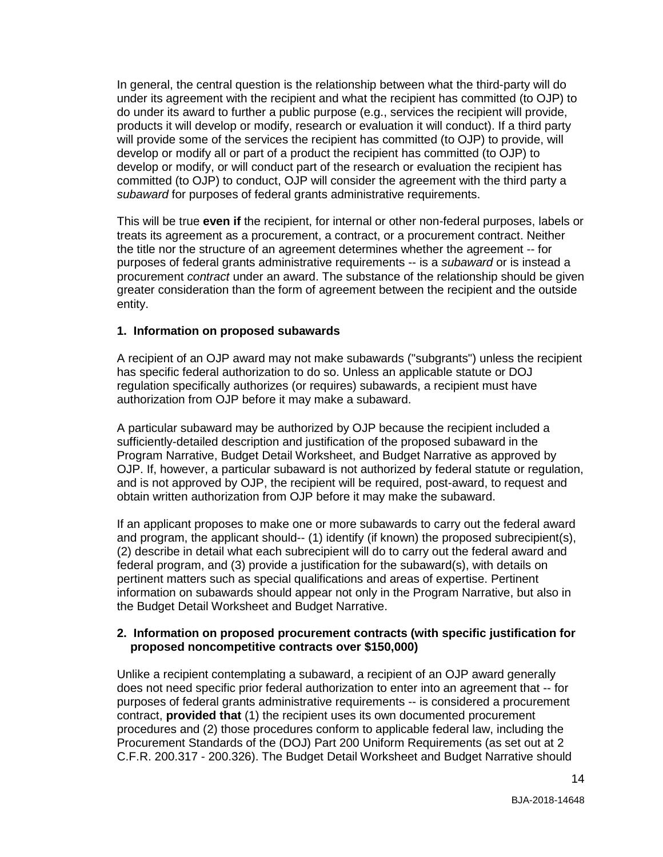In general, the central question is the relationship between what the third-party will do under its agreement with the recipient and what the recipient has committed (to OJP) to do under its award to further a public purpose (e.g., services the recipient will provide, products it will develop or modify, research or evaluation it will conduct). If a third party will provide some of the services the recipient has committed (to OJP) to provide, will develop or modify all or part of a product the recipient has committed (to OJP) to develop or modify, or will conduct part of the research or evaluation the recipient has committed (to OJP) to conduct, OJP will consider the agreement with the third party a *subaward* for purposes of federal grants administrative requirements.

This will be true **even if** the recipient, for internal or other non-federal purposes, labels or treats its agreement as a procurement, a contract, or a procurement contract. Neither the title nor the structure of an agreement determines whether the agreement -- for purposes of federal grants administrative requirements -- is a *subaward* or is instead a procurement *contract* under an award. The substance of the relationship should be given greater consideration than the form of agreement between the recipient and the outside entity.

#### **1. Information on proposed subawards**

A recipient of an OJP award may not make subawards ("subgrants") unless the recipient has specific federal authorization to do so. Unless an applicable statute or DOJ regulation specifically authorizes (or requires) subawards, a recipient must have authorization from OJP before it may make a subaward.

A particular subaward may be authorized by OJP because the recipient included a sufficiently-detailed description and justification of the proposed subaward in the Program Narrative, Budget Detail Worksheet, and Budget Narrative as approved by OJP. If, however, a particular subaward is not authorized by federal statute or regulation, and is not approved by OJP, the recipient will be required, post-award, to request and obtain written authorization from OJP before it may make the subaward.

If an applicant proposes to make one or more subawards to carry out the federal award and program, the applicant should-- (1) identify (if known) the proposed subrecipient(s), (2) describe in detail what each subrecipient will do to carry out the federal award and federal program, and (3) provide a justification for the subaward(s), with details on pertinent matters such as special qualifications and areas of expertise. Pertinent information on subawards should appear not only in the Program Narrative, but also in the Budget Detail Worksheet and Budget Narrative.

#### **2. Information on proposed procurement contracts (with specific justification for proposed noncompetitive contracts over \$150,000)**

Unlike a recipient contemplating a subaward, a recipient of an OJP award generally does not need specific prior federal authorization to enter into an agreement that -- for purposes of federal grants administrative requirements -- is considered a procurement contract, **provided that** (1) the recipient uses its own documented procurement procedures and (2) those procedures conform to applicable federal law, including the Procurement Standards of the (DOJ) Part 200 Uniform Requirements (as set out at 2 C.F.R. 200.317 - 200.326). The Budget Detail Worksheet and Budget Narrative should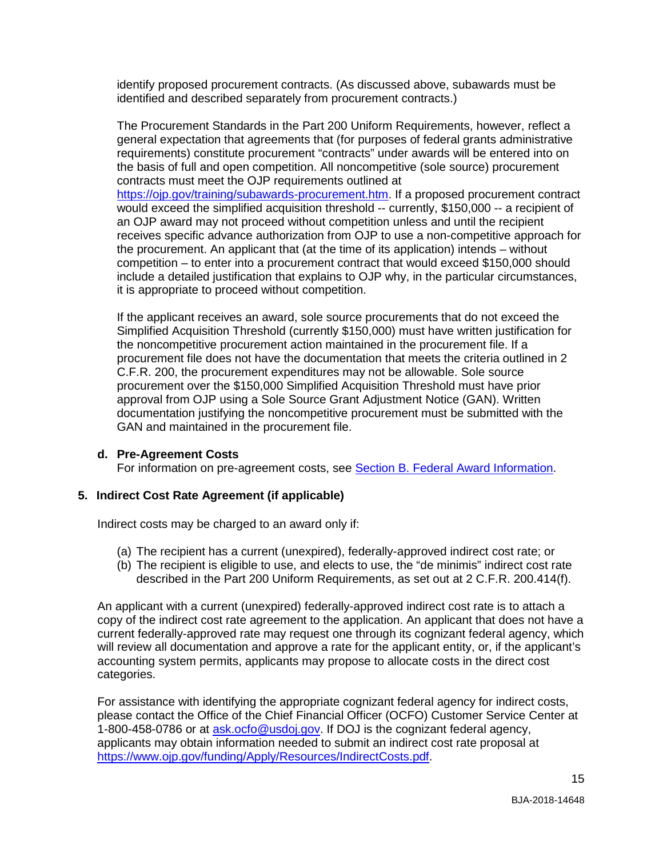identify proposed procurement contracts. (As discussed above, subawards must be identified and described separately from procurement contracts.)

The Procurement Standards in the Part 200 Uniform Requirements, however, reflect a general expectation that agreements that (for purposes of federal grants administrative requirements) constitute procurement "contracts" under awards will be entered into on the basis of full and open competition. All noncompetitive (sole source) procurement contracts must meet the OJP requirements outlined at [https://ojp.gov/training/subawards-procurement.htm.](https://ojp.gov/training/subawards-procurement.htm) If a proposed procurement contract would exceed the simplified acquisition threshold -- currently, \$150,000 -- a recipient of an OJP award may not proceed without competition unless and until the recipient receives specific advance authorization from OJP to use a non-competitive approach for the procurement. An applicant that (at the time of its application) intends – without competition – to enter into a procurement contract that would exceed \$150,000 should include a detailed justification that explains to OJP why, in the particular circumstances, it is appropriate to proceed without competition.

If the applicant receives an award, sole source procurements that do not exceed the Simplified Acquisition Threshold (currently \$150,000) must have written justification for the noncompetitive procurement action maintained in the procurement file. If a procurement file does not have the documentation that meets the criteria outlined in 2 C.F.R. 200, the procurement expenditures may not be allowable. Sole source procurement over the \$150,000 Simplified Acquisition Threshold must have prior approval from OJP using a Sole Source Grant Adjustment Notice (GAN). Written documentation justifying the noncompetitive procurement must be submitted with the GAN and maintained in the procurement file.

#### **d. Pre-Agreement Costs**

For information on pre-agreement costs, see [Section B. Federal Award Information.](#page-5-1)

#### **5. Indirect Cost Rate Agreement (if applicable)**

Indirect costs may be charged to an award only if:

- (a) The recipient has a current (unexpired), federally-approved indirect cost rate; or
- (b) The recipient is eligible to use, and elects to use, the "de minimis" indirect cost rate described in the Part 200 Uniform Requirements, as set out at 2 C.F.R. 200.414(f).

An applicant with a current (unexpired) federally-approved indirect cost rate is to attach a copy of the indirect cost rate agreement to the application. An applicant that does not have a current federally-approved rate may request one through its cognizant federal agency, which will review all documentation and approve a rate for the applicant entity, or, if the applicant's accounting system permits, applicants may propose to allocate costs in the direct cost categories.

For assistance with identifying the appropriate cognizant federal agency for indirect costs, please contact the Office of the Chief Financial Officer (OCFO) Customer Service Center at 1-800-458-0786 or at [ask.ocfo@usdoj.gov.](mailto:ask.ocfo@usdoj.gov) If DOJ is the cognizant federal agency, applicants may obtain information needed to submit an indirect cost rate proposal at [https://www.ojp.gov/funding/Apply/Resources/IndirectCosts.pdf.](https://www.ojp.gov/funding/Apply/Resources/IndirectCosts.pdf)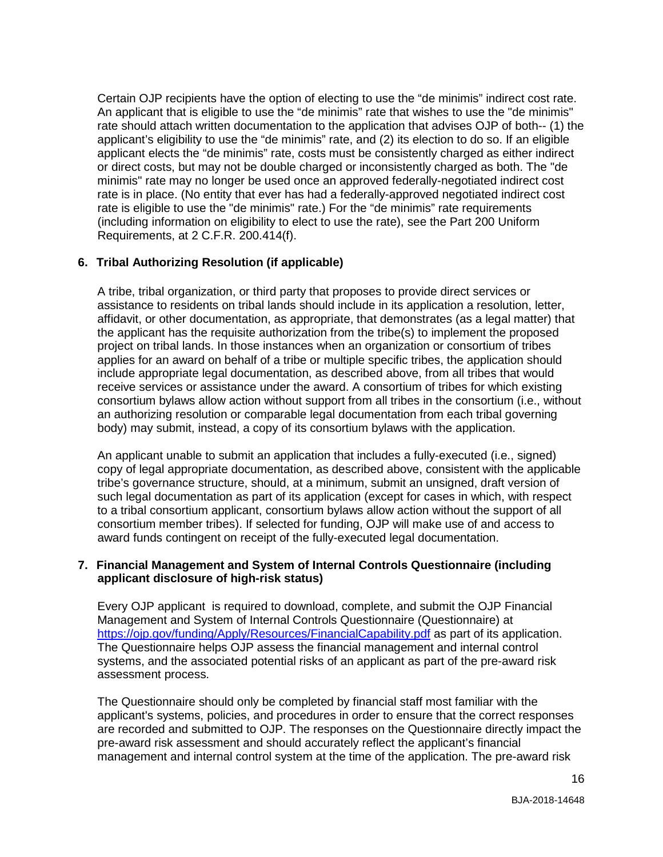Certain OJP recipients have the option of electing to use the "de minimis" indirect cost rate. An applicant that is eligible to use the "de minimis" rate that wishes to use the "de minimis" rate should attach written documentation to the application that advises OJP of both-- (1) the applicant's eligibility to use the "de minimis" rate, and (2) its election to do so. If an eligible applicant elects the "de minimis" rate, costs must be consistently charged as either indirect or direct costs, but may not be double charged or inconsistently charged as both. The "de minimis" rate may no longer be used once an approved federally-negotiated indirect cost rate is in place. (No entity that ever has had a federally-approved negotiated indirect cost rate is eligible to use the "de minimis" rate.) For the "de minimis" rate requirements (including information on eligibility to elect to use the rate), see the Part 200 Uniform Requirements, at 2 C.F.R. 200.414(f).

#### **6. Tribal Authorizing Resolution (if applicable)**

A tribe, tribal organization, or third party that proposes to provide direct services or assistance to residents on tribal lands should include in its application a resolution, letter, affidavit, or other documentation, as appropriate, that demonstrates (as a legal matter) that the applicant has the requisite authorization from the tribe(s) to implement the proposed project on tribal lands. In those instances when an organization or consortium of tribes applies for an award on behalf of a tribe or multiple specific tribes, the application should include appropriate legal documentation, as described above, from all tribes that would receive services or assistance under the award. A consortium of tribes for which existing consortium bylaws allow action without support from all tribes in the consortium (i.e., without an authorizing resolution or comparable legal documentation from each tribal governing body) may submit, instead, a copy of its consortium bylaws with the application.

An applicant unable to submit an application that includes a fully-executed (i.e., signed) copy of legal appropriate documentation, as described above, consistent with the applicable tribe's governance structure, should, at a minimum, submit an unsigned, draft version of such legal documentation as part of its application (except for cases in which, with respect to a tribal consortium applicant, consortium bylaws allow action without the support of all consortium member tribes). If selected for funding, OJP will make use of and access to award funds contingent on receipt of the fully-executed legal documentation.

#### **7. Financial Management and System of Internal Controls Questionnaire (including applicant disclosure of high-risk status)**

Every OJP applicant is required to download, complete, and submit the OJP Financial Management and System of Internal Controls Questionnaire (Questionnaire) at <https://ojp.gov/funding/Apply/Resources/FinancialCapability.pdf> as part of its application. The Questionnaire helps OJP assess the financial management and internal control systems, and the associated potential risks of an applicant as part of the pre-award risk assessment process.

The Questionnaire should only be completed by financial staff most familiar with the applicant's systems, policies, and procedures in order to ensure that the correct responses are recorded and submitted to OJP. The responses on the Questionnaire directly impact the pre-award risk assessment and should accurately reflect the applicant's financial management and internal control system at the time of the application. The pre-award risk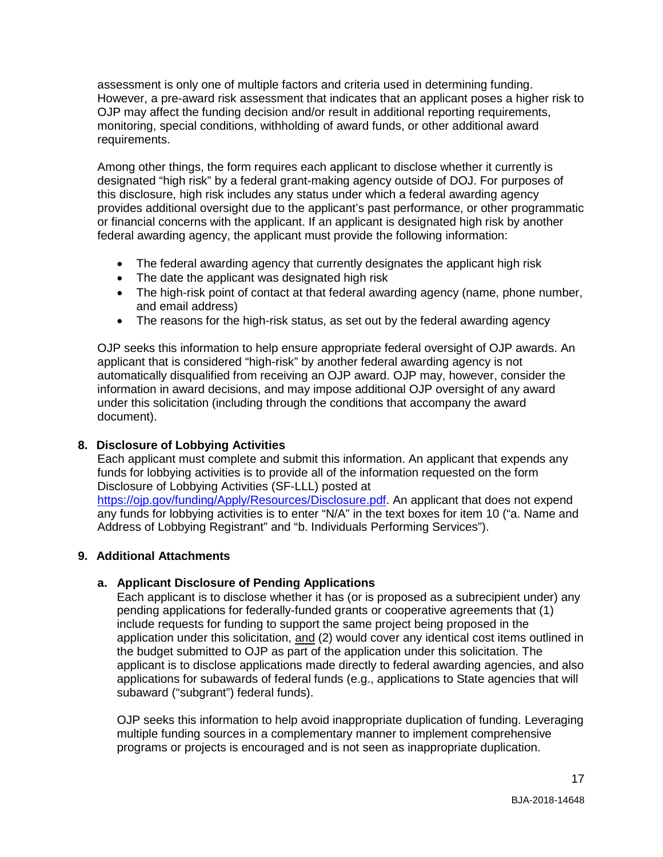assessment is only one of multiple factors and criteria used in determining funding. However, a pre-award risk assessment that indicates that an applicant poses a higher risk to OJP may affect the funding decision and/or result in additional reporting requirements, monitoring, special conditions, withholding of award funds, or other additional award requirements.

Among other things, the form requires each applicant to disclose whether it currently is designated "high risk" by a federal grant-making agency outside of DOJ. For purposes of this disclosure, high risk includes any status under which a federal awarding agency provides additional oversight due to the applicant's past performance, or other programmatic or financial concerns with the applicant. If an applicant is designated high risk by another federal awarding agency, the applicant must provide the following information:

- The federal awarding agency that currently designates the applicant high risk
- The date the applicant was designated high risk
- The high-risk point of contact at that federal awarding agency (name, phone number, and email address)
- The reasons for the high-risk status, as set out by the federal awarding agency

OJP seeks this information to help ensure appropriate federal oversight of OJP awards. An applicant that is considered "high-risk" by another federal awarding agency is not automatically disqualified from receiving an OJP award. OJP may, however, consider the information in award decisions, and may impose additional OJP oversight of any award under this solicitation (including through the conditions that accompany the award document).

#### **8. Disclosure of Lobbying Activities**

Each applicant must complete and submit this information. An applicant that expends any funds for lobbying activities is to provide all of the information requested on the form Disclosure of Lobbying Activities (SF-LLL) posted at

[https://ojp.gov/funding/Apply/Resources/Disclosure.pdf.](https://ojp.gov/funding/Apply/Resources/Disclosure.pdf) An applicant that does not expend any funds for lobbying activities is to enter "N/A" in the text boxes for item 10 ("a. Name and Address of Lobbying Registrant" and "b. Individuals Performing Services").

#### **9. Additional Attachments**

#### **a. Applicant Disclosure of Pending Applications**

Each applicant is to disclose whether it has (or is proposed as a subrecipient under) any pending applications for federally-funded grants or cooperative agreements that (1) include requests for funding to support the same project being proposed in the application under this solicitation, and (2) would cover any identical cost items outlined in the budget submitted to OJP as part of the application under this solicitation. The applicant is to disclose applications made directly to federal awarding agencies, and also applications for subawards of federal funds (e.g., applications to State agencies that will subaward ("subgrant") federal funds).

OJP seeks this information to help avoid inappropriate duplication of funding. Leveraging multiple funding sources in a complementary manner to implement comprehensive programs or projects is encouraged and is not seen as inappropriate duplication.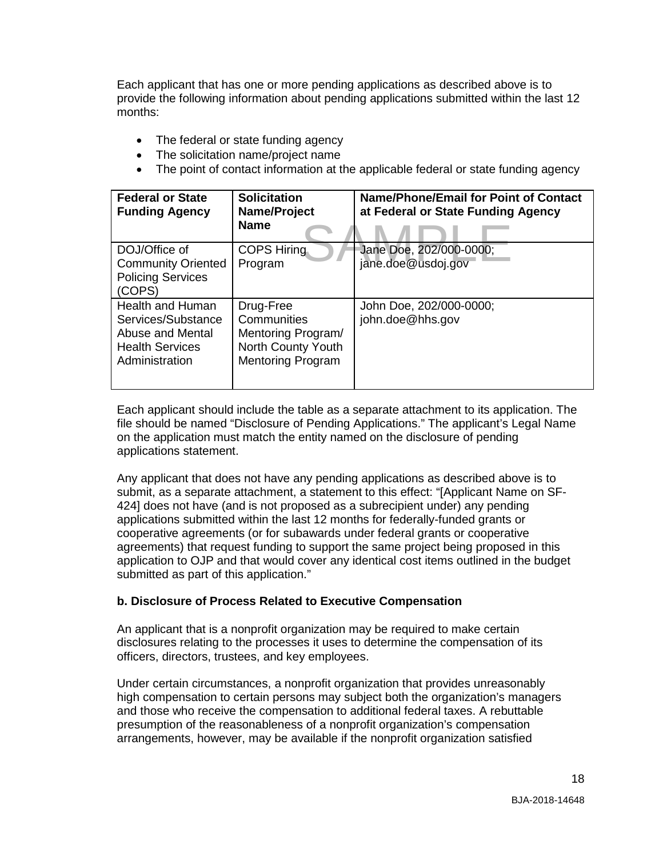Each applicant that has one or more pending applications as described above is to provide the following information about pending applications submitted within the last 12 months:

- The federal or state funding agency
- The solicitation name/project name
- The point of contact information at the applicable federal or state funding agency

| <b>Federal or State</b><br><b>Funding Agency</b>                                                       | <b>Solicitation</b><br>Name/Project<br><b>Name</b>                                               | Name/Phone/Email for Point of Contact<br>at Federal or State Funding Agency |
|--------------------------------------------------------------------------------------------------------|--------------------------------------------------------------------------------------------------|-----------------------------------------------------------------------------|
| DOJ/Office of<br><b>Community Oriented</b><br><b>Policing Services</b><br>(COPS)                       | <b>COPS Hiring</b><br>Program                                                                    | Jane Doe, 202/000-0000;<br>jane.doe@usdoj.gov                               |
| Health and Human<br>Services/Substance<br>Abuse and Mental<br><b>Health Services</b><br>Administration | Drug-Free<br>Communities<br>Mentoring Program/<br>North County Youth<br><b>Mentoring Program</b> | John Doe, 202/000-0000;<br>john.doe@hhs.gov                                 |

Each applicant should include the table as a separate attachment to its application. The file should be named "Disclosure of Pending Applications." The applicant's Legal Name on the application must match the entity named on the disclosure of pending applications statement.

Any applicant that does not have any pending applications as described above is to submit, as a separate attachment, a statement to this effect: "[Applicant Name on SF-424] does not have (and is not proposed as a subrecipient under) any pending applications submitted within the last 12 months for federally-funded grants or cooperative agreements (or for subawards under federal grants or cooperative agreements) that request funding to support the same project being proposed in this application to OJP and that would cover any identical cost items outlined in the budget submitted as part of this application."

#### **b. Disclosure of Process Related to Executive Compensation**

An applicant that is a nonprofit organization may be required to make certain disclosures relating to the processes it uses to determine the compensation of its officers, directors, trustees, and key employees.

Under certain circumstances, a nonprofit organization that provides unreasonably high compensation to certain persons may subject both the organization's managers and those who receive the compensation to additional federal taxes. A rebuttable presumption of the reasonableness of a nonprofit organization's compensation arrangements, however, may be available if the nonprofit organization satisfied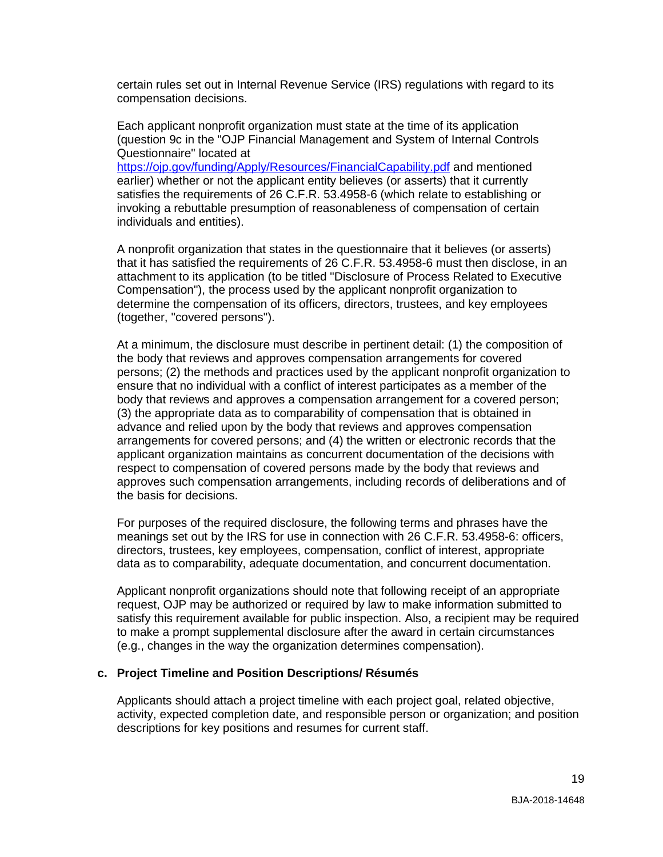certain rules set out in Internal Revenue Service (IRS) regulations with regard to its compensation decisions.

Each applicant nonprofit organization must state at the time of its application (question 9c in the "OJP Financial Management and System of Internal Controls Questionnaire" located at

<https://ojp.gov/funding/Apply/Resources/FinancialCapability.pdf> and mentioned earlier) whether or not the applicant entity believes (or asserts) that it currently satisfies the requirements of 26 C.F.R. 53.4958-6 (which relate to establishing or invoking a rebuttable presumption of reasonableness of compensation of certain individuals and entities).

A nonprofit organization that states in the questionnaire that it believes (or asserts) that it has satisfied the requirements of 26 C.F.R. 53.4958-6 must then disclose, in an attachment to its application (to be titled "Disclosure of Process Related to Executive Compensation"), the process used by the applicant nonprofit organization to determine the compensation of its officers, directors, trustees, and key employees (together, "covered persons").

At a minimum, the disclosure must describe in pertinent detail: (1) the composition of the body that reviews and approves compensation arrangements for covered persons; (2) the methods and practices used by the applicant nonprofit organization to ensure that no individual with a conflict of interest participates as a member of the body that reviews and approves a compensation arrangement for a covered person; (3) the appropriate data as to comparability of compensation that is obtained in advance and relied upon by the body that reviews and approves compensation arrangements for covered persons; and (4) the written or electronic records that the applicant organization maintains as concurrent documentation of the decisions with respect to compensation of covered persons made by the body that reviews and approves such compensation arrangements, including records of deliberations and of the basis for decisions.

For purposes of the required disclosure, the following terms and phrases have the meanings set out by the IRS for use in connection with 26 C.F.R. 53.4958-6: officers, directors, trustees, key employees, compensation, conflict of interest, appropriate data as to comparability, adequate documentation, and concurrent documentation.

Applicant nonprofit organizations should note that following receipt of an appropriate request, OJP may be authorized or required by law to make information submitted to satisfy this requirement available for public inspection. Also, a recipient may be required to make a prompt supplemental disclosure after the award in certain circumstances (e.g., changes in the way the organization determines compensation).

#### **c. Project Timeline and Position Descriptions/ Résumés**

Applicants should attach a project timeline with each project goal, related objective, activity, expected completion date, and responsible person or organization; and position descriptions for key positions and resumes for current staff.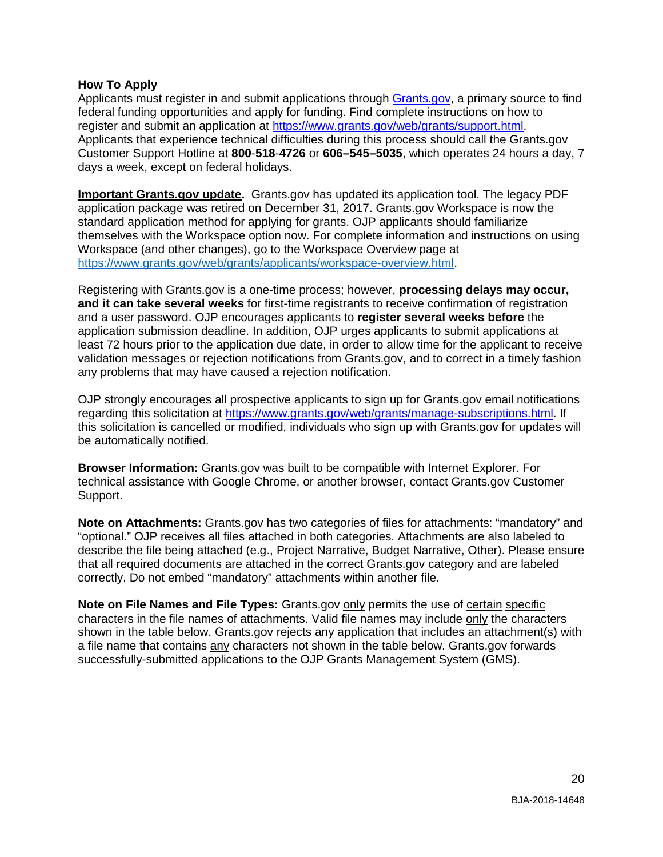#### <span id="page-19-0"></span>**How To Apply**

Applicants must register in and submit applications through [Grants.gov,](https://www.grants.gov/) a primary source to find federal funding opportunities and apply for funding. Find complete instructions on how to register and submit an application at [https://www.grants.gov/web/grants/support.html.](https://www.grants.gov/web/grants/support.html) Applicants that experience technical difficulties during this process should call the Grants.gov Customer Support Hotline at **800**-**518**-**4726** or **606–545–5035**, which operates 24 hours a day, 7 days a week, except on federal holidays.

**Important Grants.gov update.** Grants.gov has updated its application tool. The legacy PDF application package was retired on December 31, 2017. Grants.gov Workspace is now the standard application method for applying for grants. OJP applicants should familiarize themselves with the Workspace option now. For complete information and instructions on using Workspace (and other changes), go to the Workspace Overview page at [https://www.grants.gov/web/grants/applicants/workspace-overview.html.](https://www.grants.gov/web/grants/applicants/workspace-overview.html)

Registering with Grants.gov is a one-time process; however, **processing delays may occur, and it can take several weeks** for first-time registrants to receive confirmation of registration and a user password. OJP encourages applicants to **register several weeks before** the application submission deadline. In addition, OJP urges applicants to submit applications at least 72 hours prior to the application due date, in order to allow time for the applicant to receive validation messages or rejection notifications from Grants.gov, and to correct in a timely fashion any problems that may have caused a rejection notification.

OJP strongly encourages all prospective applicants to sign up for Grants.gov email notifications regarding this solicitation at [https://www.grants.gov/web/grants/manage-subscriptions.html.](https://www.grants.gov/web/grants/manage-subscriptions.html) If this solicitation is cancelled or modified, individuals who sign up with Grants.gov for updates will be automatically notified.

**Browser Information:** Grants.gov was built to be compatible with Internet Explorer. For technical assistance with Google Chrome, or another browser, contact Grants.gov Customer Support.

**Note on Attachments:** Grants.gov has two categories of files for attachments: "mandatory" and "optional." OJP receives all files attached in both categories. Attachments are also labeled to describe the file being attached (e.g., Project Narrative, Budget Narrative, Other). Please ensure that all required documents are attached in the correct Grants.gov category and are labeled correctly. Do not embed "mandatory" attachments within another file.

**Note on File Names and File Types:** Grants.gov only permits the use of certain specific characters in the file names of attachments. Valid file names may include only the characters shown in the table below. Grants.gov rejects any application that includes an attachment(s) with a file name that contains any characters not shown in the table below. Grants.gov forwards successfully-submitted applications to the OJP Grants Management System (GMS).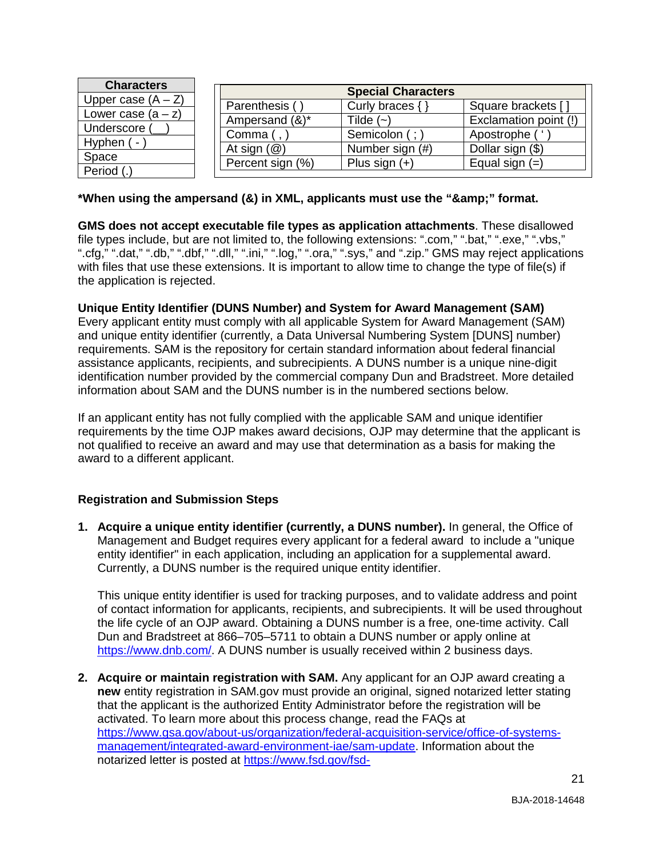| <b>Characters</b>    | <b>Special Characters</b> |                     |                       |  |
|----------------------|---------------------------|---------------------|-----------------------|--|
| Upper case $(A - Z)$ | Parenthesis (             | Curly braces $\{\}$ | Square brackets []    |  |
| Lower case $(a - z)$ | Ampersand (&)*            | Tilde $(-)$         | Exclamation point (!) |  |
| Underscore           | Comma (                   | Semicolon (;        | Apostrophe (          |  |
| Hyphen (-            | At sign $(\mathcal{Q})$   | Number sign (#)     | Dollar sign (\$)      |  |
|                      | Percent sign (%)          | Plus sign $(+)$     | Equal sign $(=)$      |  |
| Space<br>Period (.   |                           |                     |                       |  |

#### \*When using the ampersand (&) in XML, applicants must use the "&" format.

**GMS does not accept executable file types as application attachments**. These disallowed file types include, but are not limited to, the following extensions: ".com," ".bat," ".exe," ".vbs," ".cfg," ".dat," ".db," ".dbf," ".dll," ".ini," ".log," ".ora," ".sys," and ".zip." GMS may reject applications with files that use these extensions. It is important to allow time to change the type of file(s) if the application is rejected.

#### **Unique Entity Identifier (DUNS Number) and System for Award Management (SAM)**

Every applicant entity must comply with all applicable System for Award Management (SAM) and unique entity identifier (currently, a Data Universal Numbering System [DUNS] number) requirements. SAM is the repository for certain standard information about federal financial assistance applicants, recipients, and subrecipients. A DUNS number is a unique nine-digit identification number provided by the commercial company Dun and Bradstreet. More detailed information about SAM and the DUNS number is in the numbered sections below.

If an applicant entity has not fully complied with the applicable SAM and unique identifier requirements by the time OJP makes award decisions, OJP may determine that the applicant is not qualified to receive an award and may use that determination as a basis for making the award to a different applicant.

#### **Registration and Submission Steps**

**1. Acquire a unique entity identifier (currently, a DUNS number).** In general, the Office of Management and Budget requires every applicant for a federal award to include a "unique entity identifier" in each application, including an application for a supplemental award. Currently, a DUNS number is the required unique entity identifier.

This unique entity identifier is used for tracking purposes, and to validate address and point of contact information for applicants, recipients, and subrecipients. It will be used throughout the life cycle of an OJP award. Obtaining a DUNS number is a free, one-time activity. Call Dun and Bradstreet at 866–705–5711 to obtain a DUNS number or apply online at [https://www.dnb.com/.](https://www.dnb.com/) A DUNS number is usually received within 2 business days.

**2. Acquire or maintain registration with SAM.** Any applicant for an OJP award creating a **new** entity registration in SAM.gov must provide an original, signed notarized letter stating that the applicant is the authorized Entity Administrator before the registration will be activated. To learn more about this process change, read the FAQs at [https://www.gsa.gov/about-us/organization/federal-acquisition-service/office-of-systems](https://www.gsa.gov/about-us/organization/federal-acquisition-service/office-of-systems-management/integrated-award-environment-iae/sam-update)[management/integrated-award-environment-iae/sam-update.](https://www.gsa.gov/about-us/organization/federal-acquisition-service/office-of-systems-management/integrated-award-environment-iae/sam-update) Information about the notarized letter is posted at [https://www.fsd.gov/fsd-](https://www.fsd.gov/fsd-gov/answer.do?sysparm_kbid=d2e67885db0d5f00b3257d321f96194b&sysparm_search=kb0013183)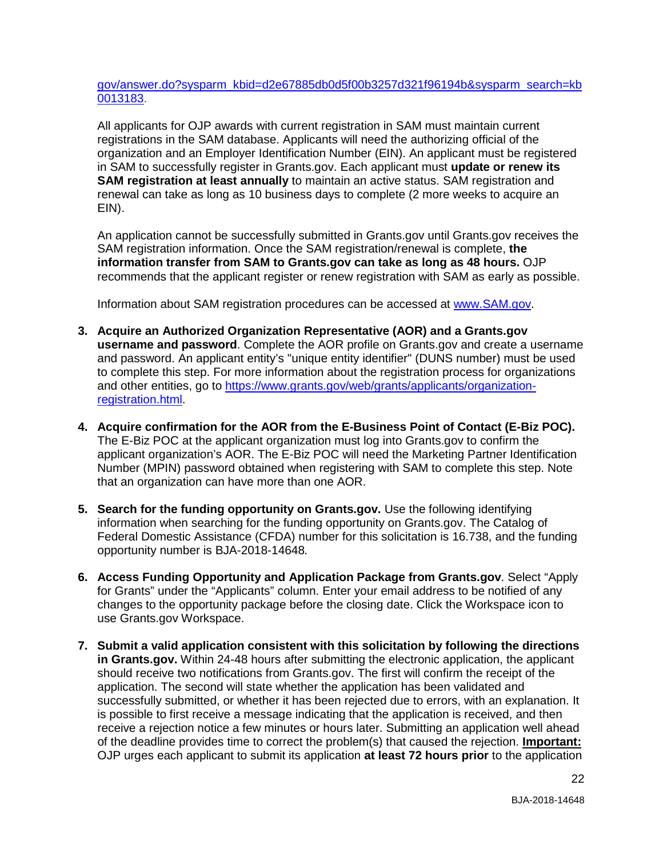[gov/answer.do?sysparm\\_kbid=d2e67885db0d5f00b3257d321f96194b&sysparm\\_search=kb](https://www.fsd.gov/fsd-gov/answer.do?sysparm_kbid=d2e67885db0d5f00b3257d321f96194b&sysparm_search=kb0013183) [0013183.](https://www.fsd.gov/fsd-gov/answer.do?sysparm_kbid=d2e67885db0d5f00b3257d321f96194b&sysparm_search=kb0013183)

All applicants for OJP awards with current registration in SAM must maintain current registrations in the SAM database. Applicants will need the authorizing official of the organization and an Employer Identification Number (EIN). An applicant must be registered in SAM to successfully register in Grants.gov. Each applicant must **update or renew its SAM registration at least annually** to maintain an active status. SAM registration and renewal can take as long as 10 business days to complete (2 more weeks to acquire an EIN).

An application cannot be successfully submitted in Grants.gov until Grants.gov receives the SAM registration information. Once the SAM registration/renewal is complete, **the information transfer from SAM to Grants.gov can take as long as 48 hours.** OJP recommends that the applicant register or renew registration with SAM as early as possible.

Information about SAM registration procedures can be accessed at [www.SAM.gov.](https://www.sam.gov/portal/SAM/#1)

- **3. Acquire an Authorized Organization Representative (AOR) and a Grants.gov username and password**. Complete the AOR profile on Grants.gov and create a username and password. An applicant entity's "unique entity identifier" (DUNS number) must be used to complete this step. For more information about the registration process for organizations and other entities, go to [https://www.grants.gov/web/grants/applicants/organization](https://www.grants.gov/web/grants/applicants/organization-registration.html)[registration.html.](https://www.grants.gov/web/grants/applicants/organization-registration.html)
- **4. Acquire confirmation for the AOR from the E-Business Point of Contact (E-Biz POC).**  The E-Biz POC at the applicant organization must log into Grants.gov to confirm the applicant organization's AOR. The E-Biz POC will need the Marketing Partner Identification Number (MPIN) password obtained when registering with SAM to complete this step. Note that an organization can have more than one AOR.
- **5. Search for the funding opportunity on Grants.gov.** Use the following identifying information when searching for the funding opportunity on Grants.gov. The Catalog of Federal Domestic Assistance (CFDA) number for this solicitation is 16.738, and the funding opportunity number is BJA-2018-14648*.*
- **6. Access Funding Opportunity and Application Package from Grants.gov**. Select "Apply for Grants" under the "Applicants" column. Enter your email address to be notified of any changes to the opportunity package before the closing date. Click the Workspace icon to use Grants.gov Workspace.
- **7. Submit a valid application consistent with this solicitation by following the directions in Grants.gov.** Within 24-48 hours after submitting the electronic application, the applicant should receive two notifications from Grants.gov. The first will confirm the receipt of the application. The second will state whether the application has been validated and successfully submitted, or whether it has been rejected due to errors, with an explanation. It is possible to first receive a message indicating that the application is received, and then receive a rejection notice a few minutes or hours later. Submitting an application well ahead of the deadline provides time to correct the problem(s) that caused the rejection. **Important:** OJP urges each applicant to submit its application **at least 72 hours prior** to the application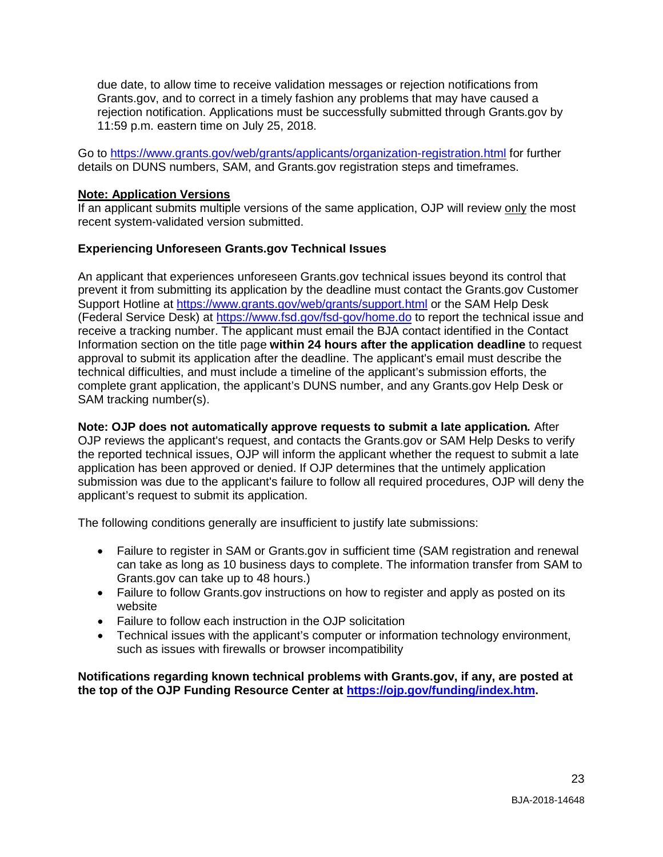due date, to allow time to receive validation messages or rejection notifications from Grants.gov, and to correct in a timely fashion any problems that may have caused a rejection notification. Applications must be successfully submitted through Grants.gov by 11:59 p.m. eastern time on July 25, 2018.

Go to<https://www.grants.gov/web/grants/applicants/organization-registration.html> for further details on DUNS numbers, SAM, and Grants.gov registration steps and timeframes.

#### **Note: Application Versions**

If an applicant submits multiple versions of the same application, OJP will review only the most recent system-validated version submitted.

#### **Experiencing Unforeseen Grants.gov Technical Issues**

An applicant that experiences unforeseen Grants.gov technical issues beyond its control that prevent it from submitting its application by the deadline must contact the Grants.gov Customer Support Hotline at<https://www.grants.gov/web/grants/support.html> or the SAM Help Desk (Federal Service Desk) at<https://www.fsd.gov/fsd-gov/home.do> to report the technical issue and receive a tracking number. The applicant must email the BJA contact identified in the Contact Information section on the title page **within 24 hours after the application deadline** to request approval to submit its application after the deadline. The applicant's email must describe the technical difficulties, and must include a timeline of the applicant's submission efforts, the complete grant application, the applicant's DUNS number, and any Grants.gov Help Desk or SAM tracking number(s).

**Note: OJP does not automatically approve requests to submit a late application***.* After OJP reviews the applicant's request, and contacts the Grants.gov or SAM Help Desks to verify the reported technical issues, OJP will inform the applicant whether the request to submit a late application has been approved or denied. If OJP determines that the untimely application submission was due to the applicant's failure to follow all required procedures, OJP will deny the applicant's request to submit its application.

The following conditions generally are insufficient to justify late submissions:

- Failure to register in SAM or Grants.gov in sufficient time (SAM registration and renewal can take as long as 10 business days to complete. The information transfer from SAM to Grants.gov can take up to 48 hours.)
- Failure to follow Grants.gov instructions on how to register and apply as posted on its website
- Failure to follow each instruction in the OJP solicitation
- Technical issues with the applicant's computer or information technology environment, such as issues with firewalls or browser incompatibility

**Notifications regarding known technical problems with Grants.gov, if any, are posted at the top of the OJP Funding Resource Center at [https://ojp.gov/funding/index.htm.](https://ojp.gov/funding/index.htm)**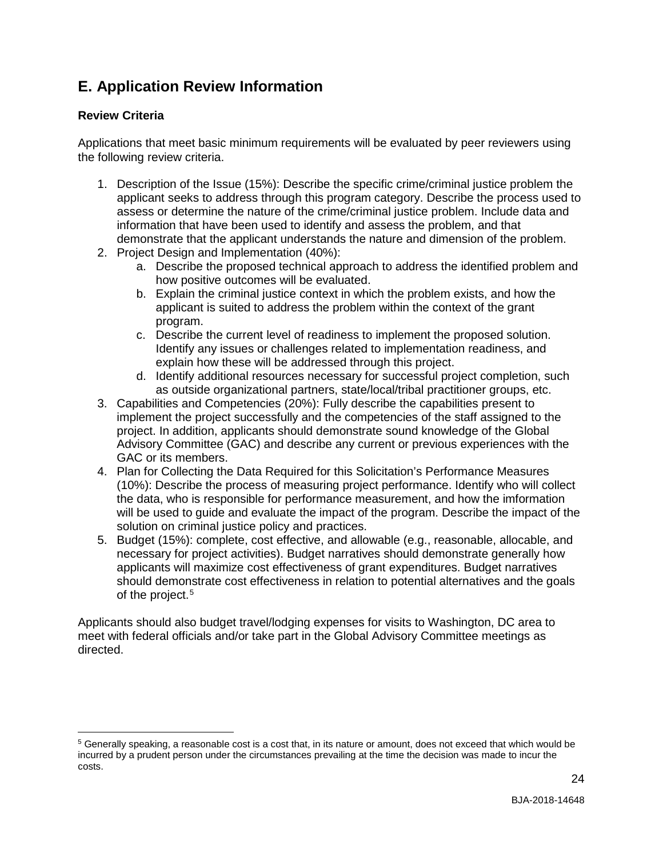## <span id="page-23-0"></span>**E. Application Review Information**

#### <span id="page-23-1"></span>**Review Criteria**

 $\overline{a}$ 

Applications that meet basic minimum requirements will be evaluated by peer reviewers using the following review criteria.

- 1. Description of the Issue (15%): Describe the specific crime/criminal justice problem the applicant seeks to address through this program category. Describe the process used to assess or determine the nature of the crime/criminal justice problem. Include data and information that have been used to identify and assess the problem, and that demonstrate that the applicant understands the nature and dimension of the problem.
- 2. Project Design and Implementation (40%):
	- a. Describe the proposed technical approach to address the identified problem and how positive outcomes will be evaluated.
	- b. Explain the criminal justice context in which the problem exists, and how the applicant is suited to address the problem within the context of the grant program.
	- c. Describe the current level of readiness to implement the proposed solution. Identify any issues or challenges related to implementation readiness, and explain how these will be addressed through this project.
	- d. Identify additional resources necessary for successful project completion, such as outside organizational partners, state/local/tribal practitioner groups, etc.
- 3. Capabilities and Competencies (20%): Fully describe the capabilities present to implement the project successfully and the competencies of the staff assigned to the project. In addition, applicants should demonstrate sound knowledge of the Global Advisory Committee (GAC) and describe any current or previous experiences with the GAC or its members.
- 4. Plan for Collecting the Data Required for this Solicitation's Performance Measures (10%): Describe the process of measuring project performance. Identify who will collect the data, who is responsible for performance measurement, and how the imformation will be used to guide and evaluate the impact of the program. Describe the impact of the solution on criminal justice policy and practices.
- 5. Budget (15%): complete, cost effective, and allowable (e.g., reasonable, allocable, and necessary for project activities). Budget narratives should demonstrate generally how applicants will maximize cost effectiveness of grant expenditures. Budget narratives should demonstrate cost effectiveness in relation to potential alternatives and the goals of the project. [5](#page-23-2)

Applicants should also budget travel/lodging expenses for visits to Washington, DC area to meet with federal officials and/or take part in the Global Advisory Committee meetings as directed.

<span id="page-23-2"></span><sup>5</sup> Generally speaking, a reasonable cost is a cost that, in its nature or amount, does not exceed that which would be incurred by a prudent person under the circumstances prevailing at the time the decision was made to incur the costs.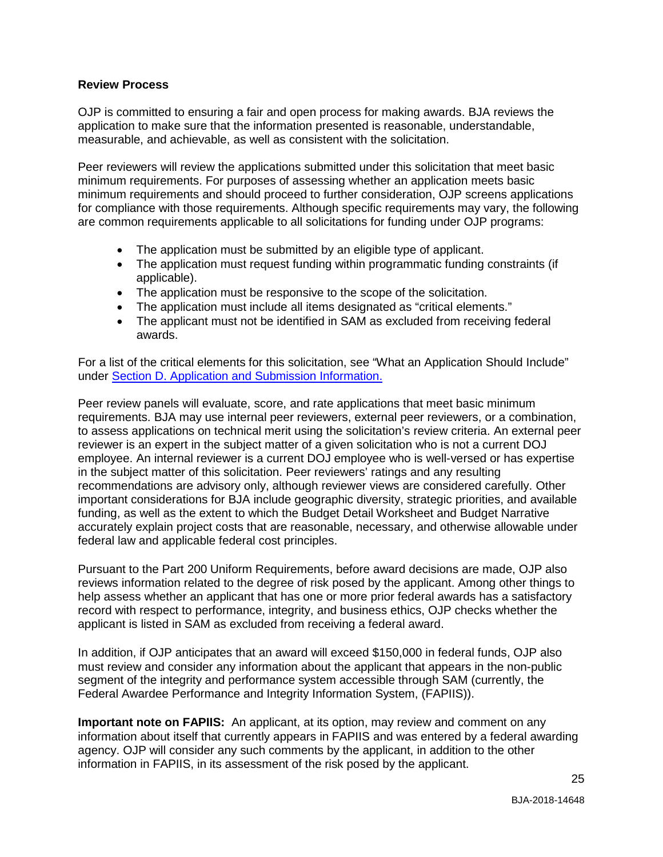#### <span id="page-24-0"></span>**Review Process**

OJP is committed to ensuring a fair and open process for making awards. BJA reviews the application to make sure that the information presented is reasonable, understandable, measurable, and achievable, as well as consistent with the solicitation.

Peer reviewers will review the applications submitted under this solicitation that meet basic minimum requirements. For purposes of assessing whether an application meets basic minimum requirements and should proceed to further consideration, OJP screens applications for compliance with those requirements. Although specific requirements may vary, the following are common requirements applicable to all solicitations for funding under OJP programs:

- The application must be submitted by an eligible type of applicant.
- The application must request funding within programmatic funding constraints (if applicable).
- The application must be responsive to the scope of the solicitation.
- The application must include all items designated as "critical elements."
- The applicant must not be identified in SAM as excluded from receiving federal awards.

For a list of the critical elements for this solicitation, see "What an Application Should Include" under [Section D. Application and Submission Information.](#page-8-0)

Peer review panels will evaluate, score, and rate applications that meet basic minimum requirements. BJA may use internal peer reviewers, external peer reviewers, or a combination, to assess applications on technical merit using the solicitation's review criteria. An external peer reviewer is an expert in the subject matter of a given solicitation who is not a current DOJ employee. An internal reviewer is a current DOJ employee who is well-versed or has expertise in the subject matter of this solicitation. Peer reviewers' ratings and any resulting recommendations are advisory only, although reviewer views are considered carefully. Other important considerations for BJA include geographic diversity, strategic priorities, and available funding, as well as the extent to which the Budget Detail Worksheet and Budget Narrative accurately explain project costs that are reasonable, necessary, and otherwise allowable under federal law and applicable federal cost principles.

Pursuant to the Part 200 Uniform Requirements, before award decisions are made, OJP also reviews information related to the degree of risk posed by the applicant. Among other things to help assess whether an applicant that has one or more prior federal awards has a satisfactory record with respect to performance, integrity, and business ethics, OJP checks whether the applicant is listed in SAM as excluded from receiving a federal award.

In addition, if OJP anticipates that an award will exceed \$150,000 in federal funds, OJP also must review and consider any information about the applicant that appears in the non-public segment of the integrity and performance system accessible through SAM (currently, the Federal Awardee Performance and Integrity Information System, (FAPIIS)).

**Important note on FAPIIS:** An applicant, at its option, may review and comment on any information about itself that currently appears in FAPIIS and was entered by a federal awarding agency. OJP will consider any such comments by the applicant, in addition to the other information in FAPIIS, in its assessment of the risk posed by the applicant.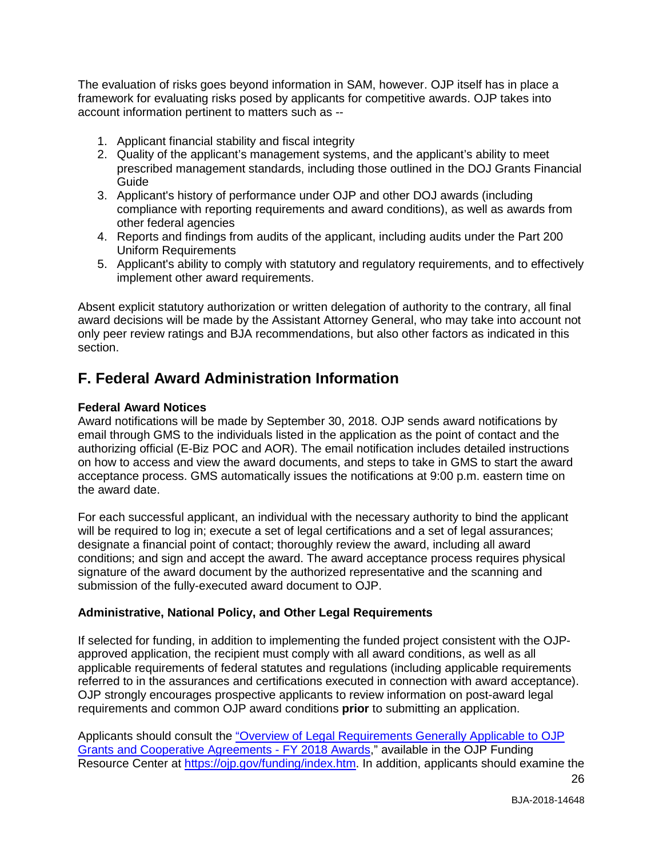The evaluation of risks goes beyond information in SAM, however. OJP itself has in place a framework for evaluating risks posed by applicants for competitive awards. OJP takes into account information pertinent to matters such as --

- 1. Applicant financial stability and fiscal integrity
- 2. Quality of the applicant's management systems, and the applicant's ability to meet prescribed management standards, including those outlined in the DOJ Grants Financial Guide
- 3. Applicant's history of performance under OJP and other DOJ awards (including compliance with reporting requirements and award conditions), as well as awards from other federal agencies
- 4. Reports and findings from audits of the applicant, including audits under the Part 200 Uniform Requirements
- 5. Applicant's ability to comply with statutory and regulatory requirements, and to effectively implement other award requirements.

Absent explicit statutory authorization or written delegation of authority to the contrary, all final award decisions will be made by the Assistant Attorney General, who may take into account not only peer review ratings and BJA recommendations, but also other factors as indicated in this section.

### <span id="page-25-0"></span>**F. Federal Award Administration Information**

#### <span id="page-25-1"></span>**Federal Award Notices**

Award notifications will be made by September 30, 2018. OJP sends award notifications by email through GMS to the individuals listed in the application as the point of contact and the authorizing official (E-Biz POC and AOR). The email notification includes detailed instructions on how to access and view the award documents, and steps to take in GMS to start the award acceptance process. GMS automatically issues the notifications at 9:00 p.m. eastern time on the award date.

For each successful applicant, an individual with the necessary authority to bind the applicant will be required to log in; execute a set of legal certifications and a set of legal assurances; designate a financial point of contact; thoroughly review the award, including all award conditions; and sign and accept the award. The award acceptance process requires physical signature of the award document by the authorized representative and the scanning and submission of the fully-executed award document to OJP.

#### <span id="page-25-2"></span>**Administrative, National Policy, and Other Legal Requirements**

If selected for funding, in addition to implementing the funded project consistent with the OJPapproved application, the recipient must comply with all award conditions, as well as all applicable requirements of federal statutes and regulations (including applicable requirements referred to in the assurances and certifications executed in connection with award acceptance). OJP strongly encourages prospective applicants to review information on post-award legal requirements and common OJP award conditions **prior** to submitting an application.

26 Applicants should consult the ["Overview of Legal Requirements Generally Applicable to OJP](https://ojp.gov/funding/Explore/LegalOverview/index.htm)  [Grants and Cooperative Agreements -](https://ojp.gov/funding/Explore/LegalOverview/index.htm) FY 2018 Awards," available in the OJP Funding Resource Center at [https://ojp.gov/funding/index.htm.](https://ojp.gov/funding/index.htm) In addition, applicants should examine the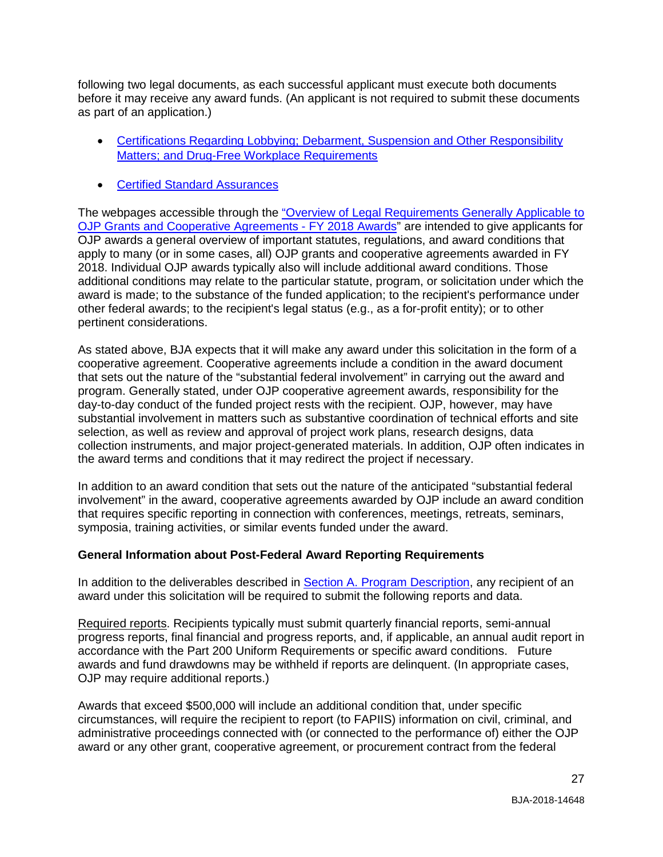following two legal documents, as each successful applicant must execute both documents before it may receive any award funds. (An applicant is not required to submit these documents as part of an application.)

- [Certifications Regarding Lobbying; Debarment, Suspension and Other Responsibility](https://ojp.gov/funding/Apply/Resources/Certifications.pdf)  [Matters; and Drug-Free Workplace Requirements](https://ojp.gov/funding/Apply/Resources/Certifications.pdf)
- Certified [Standard Assurances](https://ojp.gov/funding/Apply/Resources/StandardAssurances.pdf)

The webpages accessible through the ["Overview of Legal Requirements Generally Applicable to](https://ojp.gov/funding/Explore/LegalOverview/index.htm)  [OJP Grants and Cooperative Agreements - FY 2018 Awards"](https://ojp.gov/funding/Explore/LegalOverview/index.htm) are intended to give applicants for OJP awards a general overview of important statutes, regulations, and award conditions that apply to many (or in some cases, all) OJP grants and cooperative agreements awarded in FY 2018. Individual OJP awards typically also will include additional award conditions. Those additional conditions may relate to the particular statute, program, or solicitation under which the award is made; to the substance of the funded application; to the recipient's performance under other federal awards; to the recipient's legal status (e.g., as a for-profit entity); or to other pertinent considerations.

As stated above, BJA expects that it will make any award under this solicitation in the form of a cooperative agreement. Cooperative agreements include a condition in the award document that sets out the nature of the "substantial federal involvement" in carrying out the award and program. Generally stated, under OJP cooperative agreement awards, responsibility for the day-to-day conduct of the funded project rests with the recipient. OJP, however, may have substantial involvement in matters such as substantive coordination of technical efforts and site selection, as well as review and approval of project work plans, research designs, data collection instruments, and major project-generated materials. In addition, OJP often indicates in the award terms and conditions that it may redirect the project if necessary.

In addition to an award condition that sets out the nature of the anticipated "substantial federal involvement" in the award, cooperative agreements awarded by OJP include an award condition that requires specific reporting in connection with conferences, meetings, retreats, seminars, symposia, training activities, or similar events funded under the award.

#### <span id="page-26-0"></span>**General Information about Post-Federal Award Reporting Requirements**

In addition to the deliverables described in [Section A. Program Description,](#page-3-0) any recipient of an award under this solicitation will be required to submit the following reports and data.

Required reports. Recipients typically must submit quarterly financial reports, semi-annual progress reports, final financial and progress reports, and, if applicable, an annual audit report in accordance with the Part 200 Uniform Requirements or specific award conditions. Future awards and fund drawdowns may be withheld if reports are delinquent. (In appropriate cases, OJP may require additional reports.)

Awards that exceed \$500,000 will include an additional condition that, under specific circumstances, will require the recipient to report (to FAPIIS) information on civil, criminal, and administrative proceedings connected with (or connected to the performance of) either the OJP award or any other grant, cooperative agreement, or procurement contract from the federal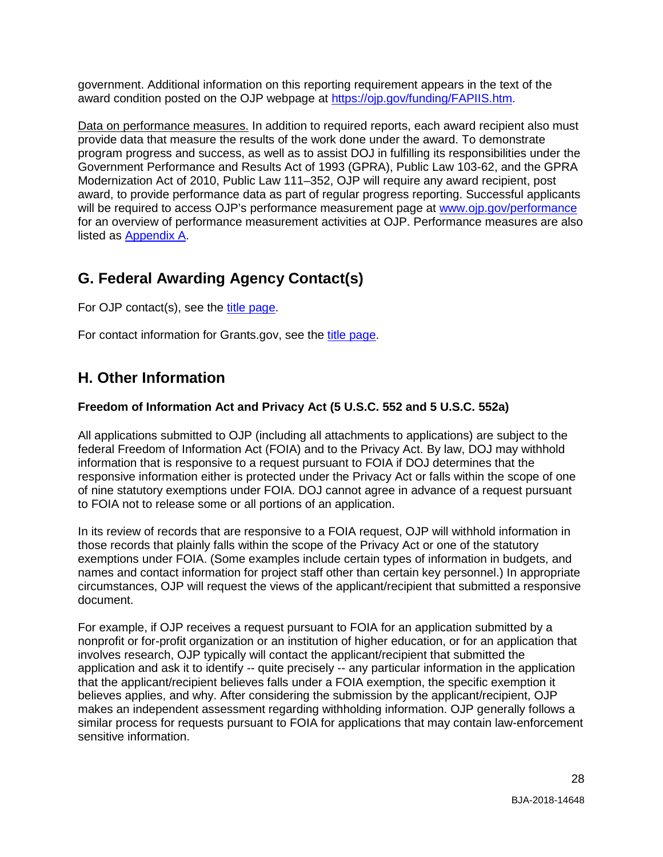government. Additional information on this reporting requirement appears in the text of the award condition posted on the OJP webpage at [https://ojp.gov/funding/FAPIIS.htm.](https://ojp.gov/funding/FAPIIS.htm)

Data on performance measures. In addition to required reports, each award recipient also must provide data that measure the results of the work done under the award. To demonstrate program progress and success, as well as to assist DOJ in fulfilling its responsibilities under the Government Performance and Results Act of 1993 (GPRA), Public Law 103-62, and the GPRA Modernization Act of 2010, Public Law 111–352, OJP will require any award recipient, post award, to provide performance data as part of regular progress reporting. Successful applicants will be required to access OJP's performance measurement page at [www.ojp.gov/performance](http://www.ojp.gov/performance) for an overview of performance measurement activities at OJP. Performance measures are also listed as [Appendix A.](#page-29-0)

## <span id="page-27-0"></span>**G. Federal Awarding Agency Contact(s)**

For OJP contact(s), see the [title page.](#page-1-0)

For contact information for Grants.gov, see the [title page.](#page-1-0)

## <span id="page-27-1"></span>**H. Other Information**

#### <span id="page-27-2"></span>**Freedom of Information Act and Privacy Act (5 U.S.C. 552 and 5 U.S.C. 552a)**

All applications submitted to OJP (including all attachments to applications) are subject to the federal Freedom of Information Act (FOIA) and to the Privacy Act. By law, DOJ may withhold information that is responsive to a request pursuant to FOIA if DOJ determines that the responsive information either is protected under the Privacy Act or falls within the scope of one of nine statutory exemptions under FOIA. DOJ cannot agree in advance of a request pursuant to FOIA not to release some or all portions of an application.

In its review of records that are responsive to a FOIA request, OJP will withhold information in those records that plainly falls within the scope of the Privacy Act or one of the statutory exemptions under FOIA. (Some examples include certain types of information in budgets, and names and contact information for project staff other than certain key personnel.) In appropriate circumstances, OJP will request the views of the applicant/recipient that submitted a responsive document.

For example, if OJP receives a request pursuant to FOIA for an application submitted by a nonprofit or for-profit organization or an institution of higher education, or for an application that involves research, OJP typically will contact the applicant/recipient that submitted the application and ask it to identify -- quite precisely -- any particular information in the application that the applicant/recipient believes falls under a FOIA exemption, the specific exemption it believes applies, and why. After considering the submission by the applicant/recipient, OJP makes an independent assessment regarding withholding information. OJP generally follows a similar process for requests pursuant to FOIA for applications that may contain law-enforcement sensitive information.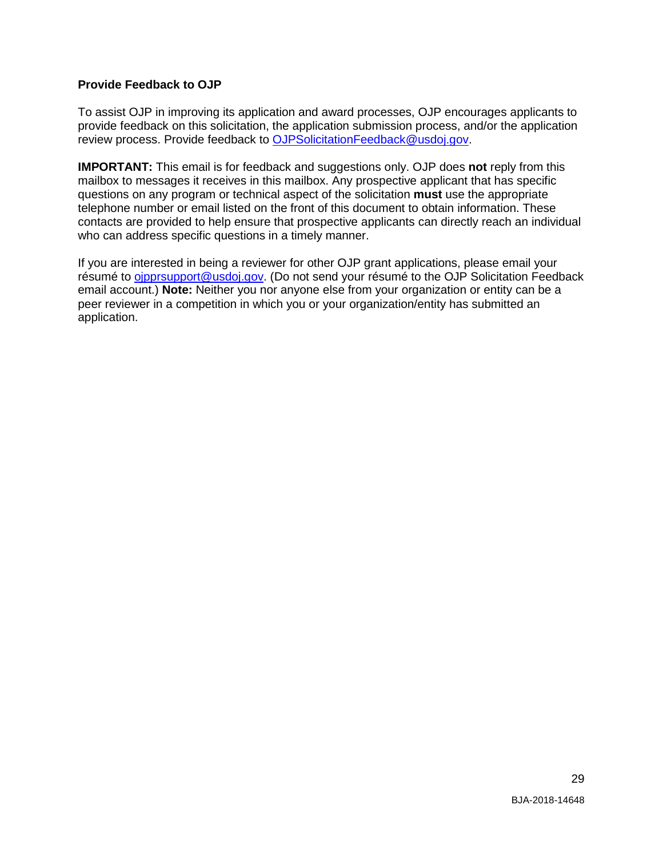#### <span id="page-28-0"></span>**Provide Feedback to OJP**

To assist OJP in improving its application and award processes, OJP encourages applicants to provide feedback on this solicitation, the application submission process, and/or the application review process. Provide feedback to [OJPSolicitationFeedback@usdoj.gov.](mailto:OJPSolicitationFeedback@usdoj.gov)

**IMPORTANT:** This email is for feedback and suggestions only. OJP does **not** reply from this mailbox to messages it receives in this mailbox. Any prospective applicant that has specific questions on any program or technical aspect of the solicitation **must** use the appropriate telephone number or email listed on the front of this document to obtain information. These contacts are provided to help ensure that prospective applicants can directly reach an individual who can address specific questions in a timely manner.

If you are interested in being a reviewer for other OJP grant applications, please email your résumé to [ojpprsupport@usdoj.gov.](mailto:ojpprsupport@usdoj.gov) (Do not send your résumé to the OJP Solicitation Feedback email account.) **Note:** Neither you nor anyone else from your organization or entity can be a peer reviewer in a competition in which you or your organization/entity has submitted an application.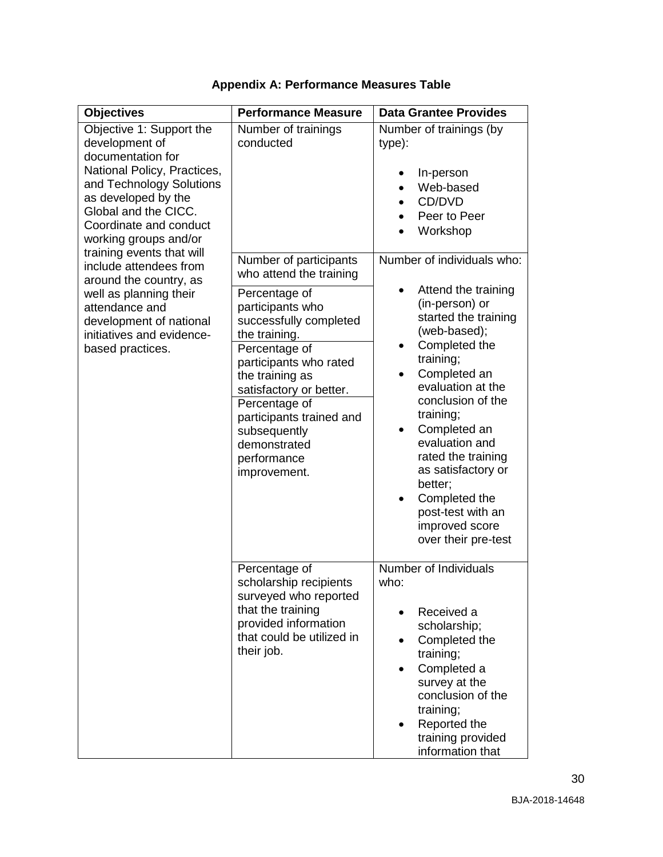<span id="page-29-0"></span>

| <b>Objectives</b>                                                                                                                                                                                                            | <b>Performance Measure</b>                                                                                                                                                                                                                                                        | <b>Data Grantee Provides</b>                                                                                                                                                                                                                                                                                                                                                                                        |
|------------------------------------------------------------------------------------------------------------------------------------------------------------------------------------------------------------------------------|-----------------------------------------------------------------------------------------------------------------------------------------------------------------------------------------------------------------------------------------------------------------------------------|---------------------------------------------------------------------------------------------------------------------------------------------------------------------------------------------------------------------------------------------------------------------------------------------------------------------------------------------------------------------------------------------------------------------|
| Objective 1: Support the<br>development of<br>documentation for<br>National Policy, Practices,<br>and Technology Solutions<br>as developed by the<br>Global and the CICC.<br>Coordinate and conduct<br>working groups and/or | Number of trainings<br>conducted                                                                                                                                                                                                                                                  | Number of trainings (by<br>type):<br>In-person<br>Web-based<br>CD/DVD<br>Peer to Peer<br>Workshop                                                                                                                                                                                                                                                                                                                   |
| training events that will<br>include attendees from<br>around the country, as                                                                                                                                                | Number of participants<br>who attend the training                                                                                                                                                                                                                                 | Number of individuals who:                                                                                                                                                                                                                                                                                                                                                                                          |
| well as planning their<br>attendance and<br>development of national<br>initiatives and evidence-<br>based practices.                                                                                                         | Percentage of<br>participants who<br>successfully completed<br>the training.<br>Percentage of<br>participants who rated<br>the training as<br>satisfactory or better.<br>Percentage of<br>participants trained and<br>subsequently<br>demonstrated<br>performance<br>improvement. | Attend the training<br>$\bullet$<br>(in-person) or<br>started the training<br>(web-based);<br>Completed the<br>$\bullet$<br>training;<br>Completed an<br>$\bullet$<br>evaluation at the<br>conclusion of the<br>training;<br>Completed an<br>٠<br>evaluation and<br>rated the training<br>as satisfactory or<br>better;<br>Completed the<br>$\bullet$<br>post-test with an<br>improved score<br>over their pre-test |
|                                                                                                                                                                                                                              | Percentage of<br>scholarship recipients<br>surveyed who reported<br>that the training<br>provided information<br>that could be utilized in<br>their job.                                                                                                                          | Number of Individuals<br>who:<br>Received a<br>scholarship;<br>Completed the<br>$\bullet$<br>training;<br>Completed a<br>survey at the<br>conclusion of the<br>training;<br>Reported the<br>$\bullet$<br>training provided<br>information that                                                                                                                                                                      |

### **Appendix A: Performance Measures Table**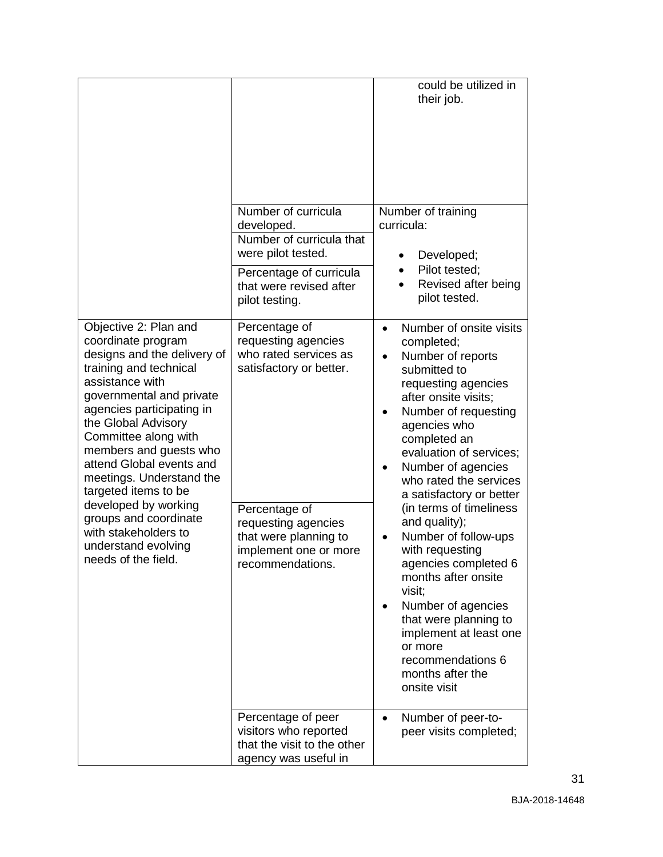|                                                                                                                                                                                                                                                                                                                                                                                                                                                                  |                                                                                                                                                                                                        | could be utilized in<br>their job.                                                                                                                                                                                                                                                                                                                                                                                                                                                                                                                                                                 |
|------------------------------------------------------------------------------------------------------------------------------------------------------------------------------------------------------------------------------------------------------------------------------------------------------------------------------------------------------------------------------------------------------------------------------------------------------------------|--------------------------------------------------------------------------------------------------------------------------------------------------------------------------------------------------------|----------------------------------------------------------------------------------------------------------------------------------------------------------------------------------------------------------------------------------------------------------------------------------------------------------------------------------------------------------------------------------------------------------------------------------------------------------------------------------------------------------------------------------------------------------------------------------------------------|
|                                                                                                                                                                                                                                                                                                                                                                                                                                                                  | Number of curricula<br>developed.<br>Number of curricula that<br>were pilot tested.<br>Percentage of curricula<br>that were revised after<br>pilot testing.                                            | Number of training<br>curricula:<br>Developed;<br>Pilot tested;<br>Revised after being<br>pilot tested.                                                                                                                                                                                                                                                                                                                                                                                                                                                                                            |
| Objective 2: Plan and<br>coordinate program<br>designs and the delivery of<br>training and technical<br>assistance with<br>governmental and private<br>agencies participating in<br>the Global Advisory<br>Committee along with<br>members and guests who<br>attend Global events and<br>meetings. Understand the<br>targeted items to be<br>developed by working<br>groups and coordinate<br>with stakeholders to<br>understand evolving<br>needs of the field. | Percentage of<br>requesting agencies<br>who rated services as<br>satisfactory or better.<br>Percentage of<br>requesting agencies<br>that were planning to<br>implement one or more<br>recommendations. | Number of onsite visits<br>$\bullet$<br>completed;<br>Number of reports<br>submitted to<br>requesting agencies<br>after onsite visits;<br>Number of requesting<br>agencies who<br>completed an<br>evaluation of services;<br>Number of agencies<br>who rated the services<br>a satisfactory or better<br>(in terms of timeliness<br>and quality);<br>Number of follow-ups<br>with requesting<br>agencies completed 6<br>months after onsite<br>visit;<br>Number of agencies<br>that were planning to<br>implement at least one<br>or more<br>recommendations 6<br>months after the<br>onsite visit |
|                                                                                                                                                                                                                                                                                                                                                                                                                                                                  | Percentage of peer<br>visitors who reported<br>that the visit to the other<br>agency was useful in                                                                                                     | Number of peer-to-<br>peer visits completed;                                                                                                                                                                                                                                                                                                                                                                                                                                                                                                                                                       |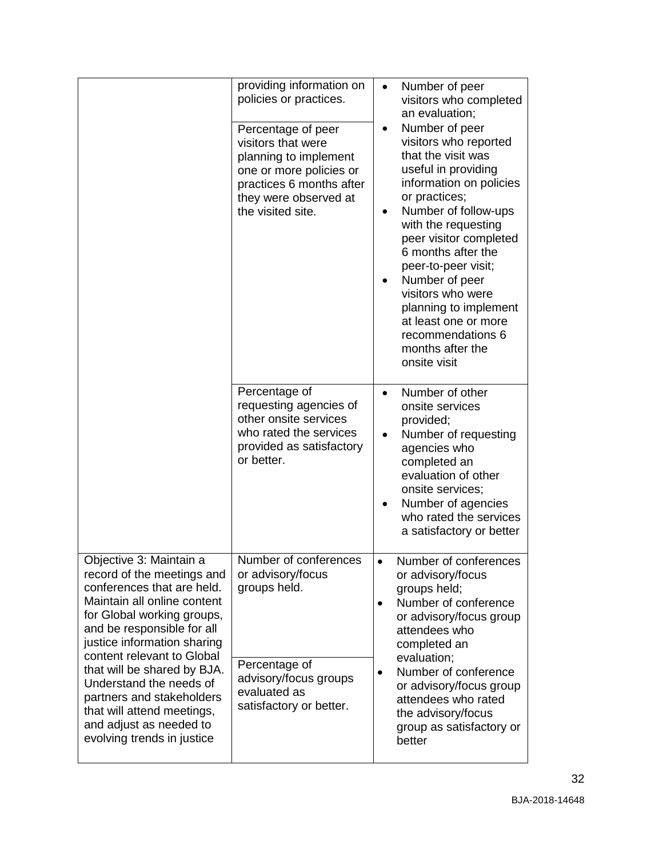|                                                                                                                                                                                                                                                                                                                                                                                                                           | providing information on<br>policies or practices.<br>Percentage of peer<br>visitors that were<br>planning to implement<br>one or more policies or<br>practices 6 months after<br>they were observed at<br>the visited site. | $\bullet$<br>٠         | Number of peer<br>visitors who completed<br>an evaluation;<br>Number of peer<br>visitors who reported<br>that the visit was<br>useful in providing<br>information on policies<br>or practices;<br>Number of follow-ups<br>with the requesting<br>peer visitor completed<br>6 months after the<br>peer-to-peer visit;<br>Number of peer<br>visitors who were<br>planning to implement<br>at least one or more<br>recommendations 6<br>months after the<br>onsite visit |
|---------------------------------------------------------------------------------------------------------------------------------------------------------------------------------------------------------------------------------------------------------------------------------------------------------------------------------------------------------------------------------------------------------------------------|------------------------------------------------------------------------------------------------------------------------------------------------------------------------------------------------------------------------------|------------------------|-----------------------------------------------------------------------------------------------------------------------------------------------------------------------------------------------------------------------------------------------------------------------------------------------------------------------------------------------------------------------------------------------------------------------------------------------------------------------|
|                                                                                                                                                                                                                                                                                                                                                                                                                           | Percentage of<br>requesting agencies of<br>other onsite services<br>who rated the services<br>provided as satisfactory<br>or better.                                                                                         |                        | Number of other<br>onsite services<br>provided;<br>Number of requesting<br>agencies who<br>completed an<br>evaluation of other<br>onsite services;<br>Number of agencies<br>who rated the services<br>a satisfactory or better                                                                                                                                                                                                                                        |
| Objective 3: Maintain a<br>record of the meetings and<br>conferences that are held.<br>Maintain all online content<br>for Global working groups,<br>and be responsible for all<br>justice information sharing<br>content relevant to Global<br>that will be shared by BJA.<br>Understand the needs of<br>partners and stakeholders<br>that will attend meetings,<br>and adjust as needed to<br>evolving trends in justice | Number of conferences<br>or advisory/focus<br>groups held.<br>Percentage of<br>advisory/focus groups<br>evaluated as<br>satisfactory or better.                                                                              | $\bullet$<br>$\bullet$ | Number of conferences<br>or advisory/focus<br>groups held;<br>Number of conference<br>or advisory/focus group<br>attendees who<br>completed an<br>evaluation;<br>Number of conference<br>or advisory/focus group<br>attendees who rated<br>the advisory/focus<br>group as satisfactory or<br>better                                                                                                                                                                   |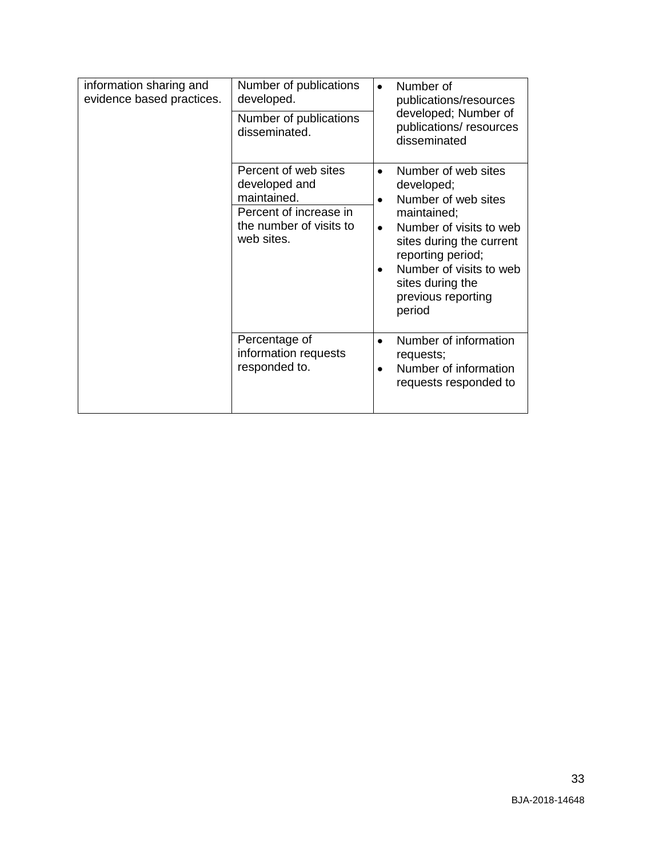| information sharing and<br>evidence based practices. | Number of publications<br>developed.<br>Number of publications<br>disseminated.                                         | Number of<br>$\bullet$<br>publications/resources<br>developed; Number of<br>publications/resources<br>disseminated                                                                                                                                           |
|------------------------------------------------------|-------------------------------------------------------------------------------------------------------------------------|--------------------------------------------------------------------------------------------------------------------------------------------------------------------------------------------------------------------------------------------------------------|
|                                                      | Percent of web sites<br>developed and<br>maintained.<br>Percent of increase in<br>the number of visits to<br>web sites. | Number of web sites<br>developed;<br>Number of web sites<br>$\bullet$<br>maintained;<br>Number of visits to web<br>$\bullet$<br>sites during the current<br>reporting period;<br>Number of visits to web<br>sites during the<br>previous reporting<br>period |
|                                                      | Percentage of<br>information requests<br>responded to.                                                                  | Number of information<br>requests;<br>Number of information<br>$\bullet$<br>requests responded to                                                                                                                                                            |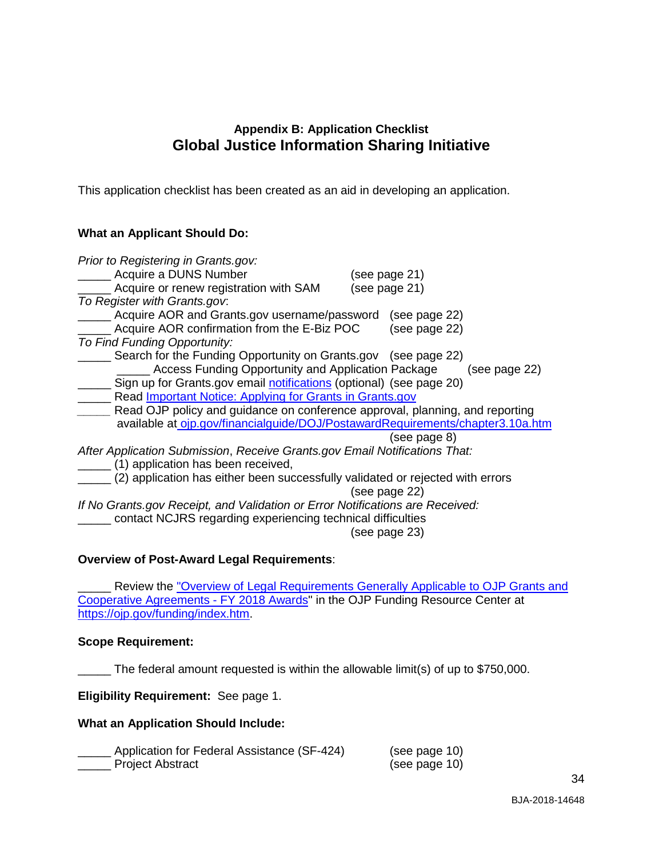#### **Appendix B: Application Checklist Global Justice Information Sharing Initiative**

<span id="page-33-0"></span>This application checklist has been created as an aid in developing an application.

#### **What an Applicant Should Do:**

| Prior to Registering in Grants.gov:                                            |               |               |
|--------------------------------------------------------------------------------|---------------|---------------|
| Acquire a DUNS Number                                                          | (see page 21) |               |
| Acquire or renew registration with SAM                                         | (see page 21) |               |
| To Register with Grants.gov.                                                   |               |               |
| Acquire AOR and Grants.gov username/password                                   |               | (see page 22) |
| Acquire AOR confirmation from the E-Biz POC                                    |               | (see page 22) |
| To Find Funding Opportunity:                                                   |               |               |
| Search for the Funding Opportunity on Grants.gov (see page 22)                 |               |               |
| Access Funding Opportunity and Application Package                             |               | (see page 22) |
| Sign up for Grants.gov email notifications (optional) (see page 20)            |               |               |
| Read Important Notice: Applying for Grants in Grants.gov                       |               |               |
| Read OJP policy and guidance on conference approval, planning, and reporting   |               |               |
| available at ojp.gov/financialguide/DOJ/PostawardRequirements/chapter3.10a.htm |               |               |
|                                                                                |               | (see page 8)  |
| After Application Submission, Receive Grants.gov Email Notifications That:     |               |               |
| (1) application has been received,                                             |               |               |
| (2) application has either been successfully validated or rejected with errors |               |               |
|                                                                                | (see page 22) |               |
| If No Grants.gov Receipt, and Validation or Error Notifications are Received:  |               |               |
| contact NCJRS regarding experiencing technical difficulties                    |               |               |
|                                                                                | (see page 23) |               |

#### **Overview of Post-Award Legal Requirements**:

Review the "Overview of Legal Requirements Generally Applicable to OJP Grants and [Cooperative Agreements - FY 2018 Awards"](https://ojp.gov/funding/Explore/LegalOverview/index.htm) in the OJP Funding Resource Center at [https://ojp.gov/funding/index.htm.](https://ojp.gov/funding/index.htm)

#### **Scope Requirement:**

\_\_\_\_\_ The federal amount requested is within the allowable limit(s) of up to \$750,000.

**Eligibility Requirement:** See page 1.

#### **What an Application Should Include:**

| Application for Federal Assistance (SF-424) | (see page 10) |
|---------------------------------------------|---------------|
| <b>Project Abstract</b>                     | (see page 10) |